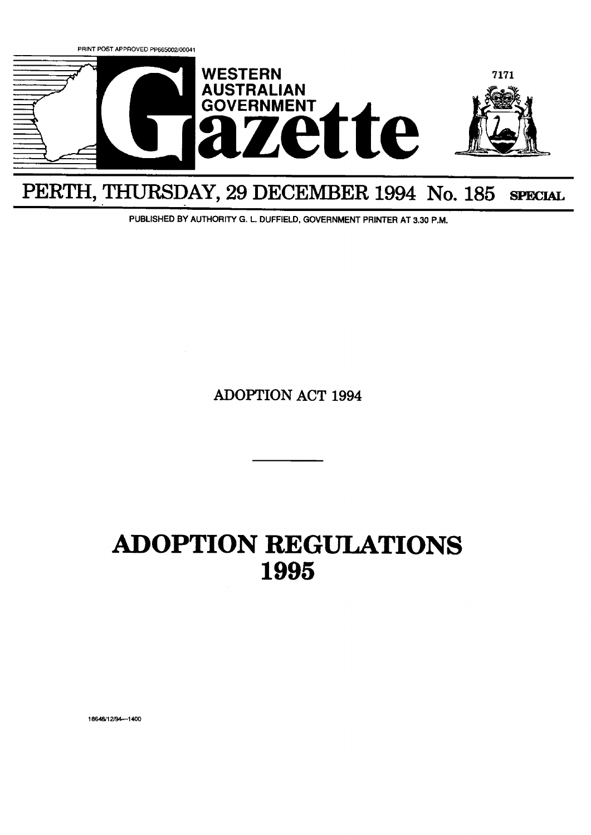

### PERTH, THURSDAY, 29 DECEMBER 1994 No. 185 SPECIAL

**PUBLISHED BY AUTHORITY G. L. DUFFIELD, GOVERNMENT PRINTER AT 3.30 PM.** 

**ADOPTION ACT 1994** 

# **ADOPTION REGULATIONS**

18648/12/94-1400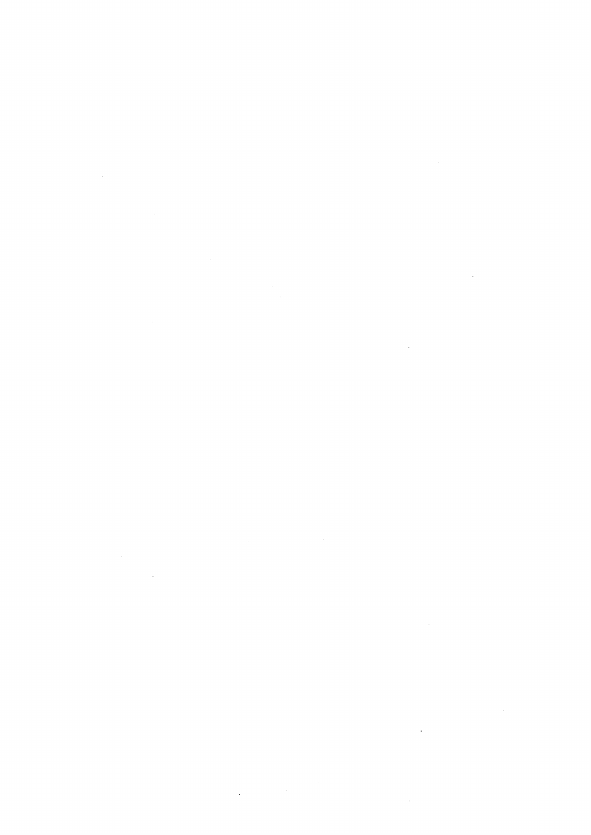$\label{eq:2.1} \mathcal{L}(\mathcal{L}^{\text{max}}_{\mathcal{L}}(\mathcal{L}^{\text{max}}_{\mathcal{L}})) \leq \mathcal{L}(\mathcal{L}^{\text{max}}_{\mathcal{L}}(\mathcal{L}^{\text{max}}_{\mathcal{L}}))$ 

 $\label{eq:2.1} \mathcal{L}(\mathcal{L}^{\text{max}}_{\mathcal{L}}(\mathcal{L}^{\text{max}}_{\mathcal{L}})) \leq \mathcal{L}(\mathcal{L}^{\text{max}}_{\mathcal{L}}(\mathcal{L}^{\text{max}}_{\mathcal{L}}))$ 

 $\label{eq:2.1} \frac{1}{\sqrt{2}}\int_{\mathbb{R}^3}\frac{1}{\sqrt{2}}\left(\frac{1}{\sqrt{2}}\right)^2\frac{1}{\sqrt{2}}\left(\frac{1}{\sqrt{2}}\right)^2\frac{1}{\sqrt{2}}\left(\frac{1}{\sqrt{2}}\right)^2.$ 

 $\mathcal{L}^{\mathcal{L}}(\mathcal{L}^{\mathcal{L}})$  . The set of  $\mathcal{L}^{\mathcal{L}}(\mathcal{L}^{\mathcal{L}})$ 

 $\label{eq:2.1} \frac{1}{\sqrt{2}}\int_{\mathbb{R}^3}\frac{1}{\sqrt{2}}\left(\frac{1}{\sqrt{2}}\right)^2\frac{1}{\sqrt{2}}\left(\frac{1}{\sqrt{2}}\right)^2\frac{1}{\sqrt{2}}\left(\frac{1}{\sqrt{2}}\right)^2\frac{1}{\sqrt{2}}\left(\frac{1}{\sqrt{2}}\right)^2\frac{1}{\sqrt{2}}\left(\frac{1}{\sqrt{2}}\right)^2\frac{1}{\sqrt{2}}\frac{1}{\sqrt{2}}\frac{1}{\sqrt{2}}\frac{1}{\sqrt{2}}\frac{1}{\sqrt{2}}\frac{1}{\sqrt{2}}$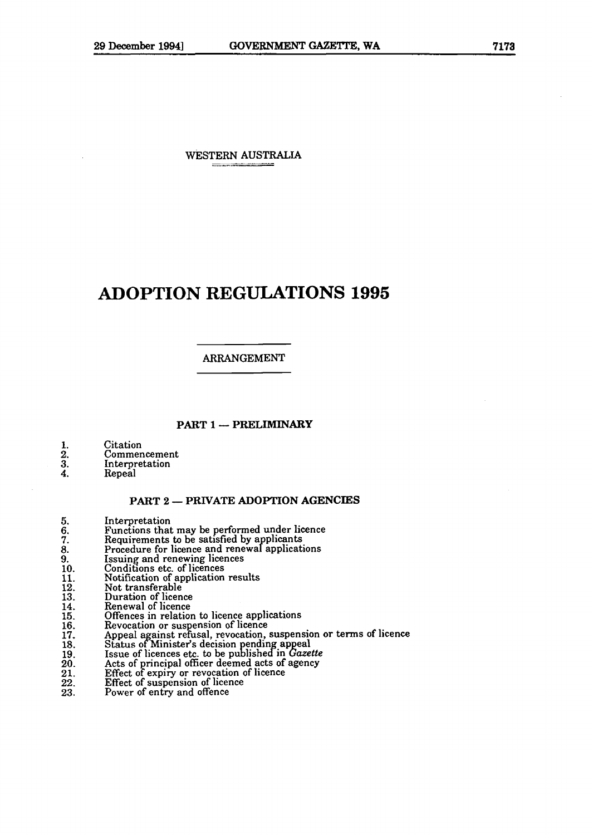**WESTERN AUSTRALIA** 

### **ADOPTION REGULATIONS 1995**

### **ARRANGEMENT**

#### **PART 1** - **PRELIMINARY**

| -1. | Citation       |
|-----|----------------|
| 2.  | Commencement   |
| 3.  | Interpretation |
|     | $P_{\alpha}$   |

#### 4. Repeal

#### **PART 2** - **PRIVATE ADOPTION AGENCIES**

| 5.                                                      | Interpretation                                                     |
|---------------------------------------------------------|--------------------------------------------------------------------|
|                                                         | Functions that may be performed under licence                      |
|                                                         | Requirements to be satisfied by applicants                         |
| 6.<br>7.<br>9.                                          | Procedure for licence and renewal applications                     |
|                                                         | Issuing and renewing licences                                      |
|                                                         | Conditions etc. of licences                                        |
| $\frac{10}{11}$                                         | Notification of application results                                |
| 12.                                                     | Not transferable                                                   |
| 13.                                                     | Duration of licence                                                |
| 14.                                                     | Renewal of licence                                                 |
| 15.                                                     | Offences in relation to licence applications                       |
| 16.                                                     | Revocation or suspension of licence                                |
| 17.                                                     | Appeal against refusal, revocation, suspension or terms of licence |
| 18.                                                     | Status of Minister's decision pending appeal                       |
| 19.                                                     | Issue of licences etc. to be published in Gazette                  |
| $\begin{smallmatrix} 20. \ 21. \ 22. \end{smallmatrix}$ | Acts of principal officer deemed acts of agency                    |
|                                                         | Effect of expiry or revocation of licence                          |
|                                                         | Effect of suspension of licence                                    |
| 23.                                                     | Power of entry and offence                                         |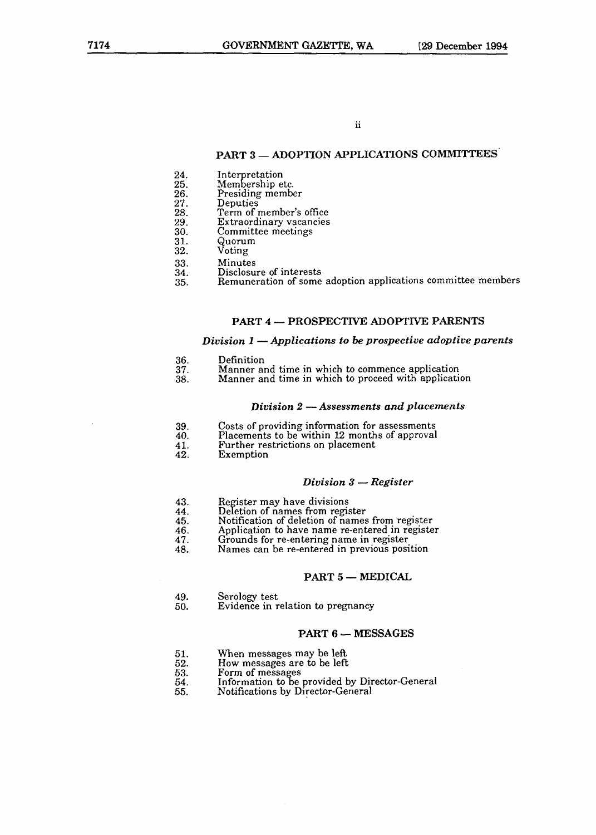$\ddot{\mathbf{n}}$ 

### **PART 3 - ADOPTION APPLICATIONS COMMITTEES**

- 24. Interpretation
- mterpretation<br>Membership etc. 25.
- $\overline{26}$ . Presiding member
- 27. Deputies
- 28. Tern of member's ofice
- 29. Extraordinary vacancies
- 30. Committee meetings
- Quorum 31.
- 32. Voting
- 33. Minutes
- 34. Disclosure of interests
- Remuneration of some adoption applications committee members 35.

#### **PART 4 - PROSPECTIVE ADOPTIVE PARENTS**

#### *Division I* - *Applications to be prospective adoptive parents*

- 
- *36.* Definition **37.** Manner and time in which to commence application
- **38.** Manner and time in which to proceed with application

#### *Division 2* - *Assessments and placements*

- **39.** Costs of providing information for assessments
- 40. Placements to be within 12 months of approval 41. Further restrictions on placement
- 41. Further restrictions on placement<br>42. Exemption
- **42.** Exemption

#### *Division 3* - *Register*

- 43. **Register may have divisions**<br>44. Deletion of names from regis
- **44.** De etion of names From resster **r**
- Notification of deletion of names from register
- **45. 46.** Application to have name re-entered in register
- **47.** Grounds for re-entering name in register
- Names can be re-entered in previous position

#### **PART 5 - MEDICAL**

- 
- 49. Serology test<br>50. Evidence in r **50.** Evidence in relation **to** pregnancy

#### **PART 6 - MESSAGES**

- 51. When messages may be left<br>52. How messages are to be left
- 52. **How messages are to be left** 53. **Form of messages**
- **53. Form of messages**<br>**54. Information to be**
- 54. Information to be provided by Director-General
- 55. Notifications by Director-General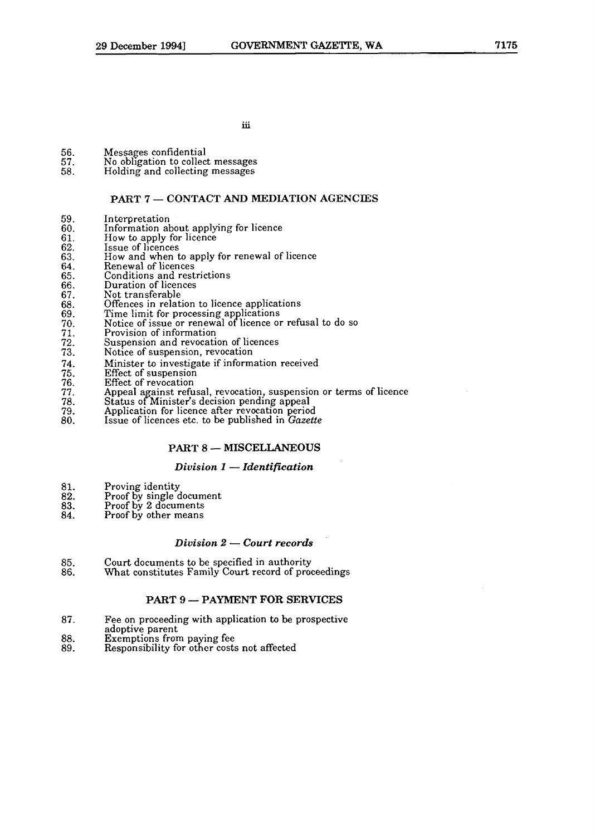iii

| 56. | Messages confidential |  |
|-----|-----------------------|--|
|     |                       |  |

- $\frac{57}{58}$ No obligation to collect messages
	- Holding and collecting messages

#### **PART 7** - **CONTACT AND MEDIATION AGENCIES**

- 59. Interpretation
- Information about applying for licence 60.
- 61. How to apply for licence
- 62. Issue of licences
- 63. How and when to apply for renewal of licence
- Renewal of licences 64.
- Conditions and restrictions 65. Duration of licences
- 66. 67.
- Not transferable<br>Offences in relation to licence applications 68.
- Time limit for processing applications 69.
- Notice of issue or renewal of licence or refusal to do so
- $\frac{70}{71}$ Provision of information
- 72. Suspension and revocation of licences
- Notice of suspension, revocation 73.
- Minister to investigate if information received 74.
- Effect of suspension Effect of revocation 75.
- $76.$
- Appeal against refusal, revocation, suspension or terms of licence<br>Status of Minister's decision pending appeal 77.
- 78.
- $^{10}_{79}$ Application for licence after revocation period Issue of licences etc. to be published in *Gazette*
- 80.

### **PART 8** - **MISCELLANEOUS**  *Division l* - *Identification*

- Proving identity 81.
- Proof by single document Proof by 2 documents 82.
- $\overline{83}$ .
- Proof by other means 84.

### *Division 2* - *Court records*

- 85.
- Court documents to be specified in authority What constitutes Family Court record of proceedings  $86$

#### **PART 9** - **PAYMENT FOR SERVICES**

- 87. Fee on proceeding with application to be prospective<br>adoptive parent<br>Exemptions from paying fee
- 88.
- Responsibility for other costs not affected 89.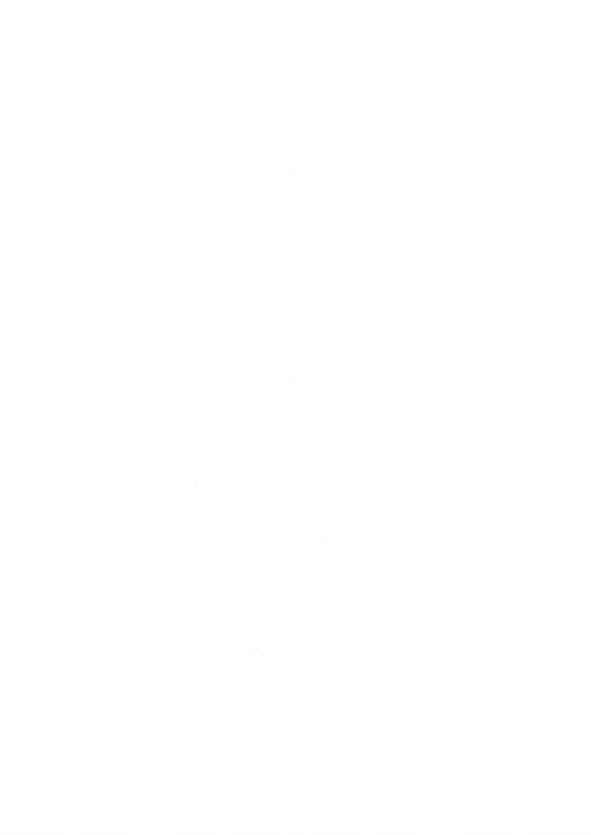$\label{eq:2.1} \frac{1}{\sqrt{2}}\int_{\mathbb{R}^3}\frac{1}{\sqrt{2}}\left(\frac{1}{\sqrt{2}}\right)^2\frac{1}{\sqrt{2}}\left(\frac{1}{\sqrt{2}}\right)^2\frac{1}{\sqrt{2}}\left(\frac{1}{\sqrt{2}}\right)^2\frac{1}{\sqrt{2}}\left(\frac{1}{\sqrt{2}}\right)^2.$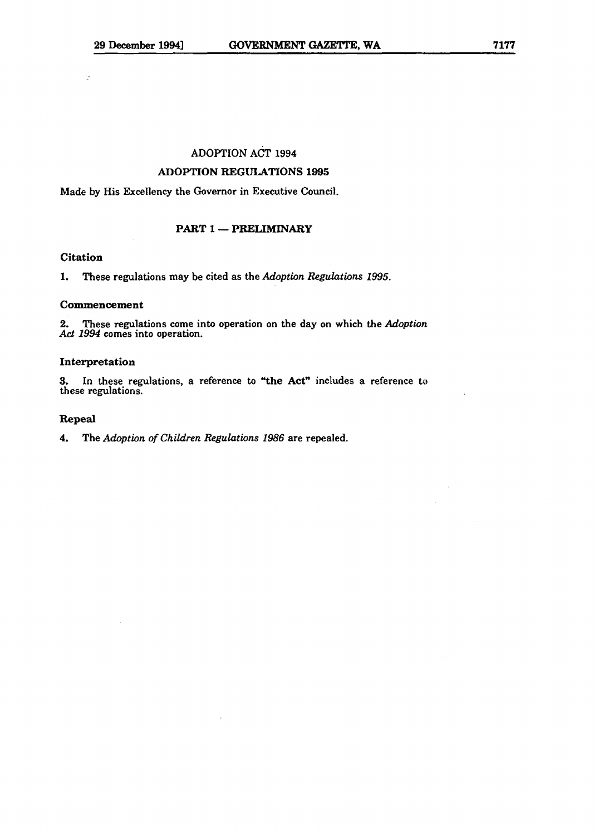### **ADOPTION ACT 1994**

### **ADOPTION REGULATIONS 1995**

**Made by His Excellency the Governor in Executive Council.** 

### **PART <sup>l</sup>**- **PRELIMINARY**

#### **Citation**

Ŷ,

**1. These regulations may be cited as the** *Adoption Regulations* **1995.** 

#### **Commencement**

**2. These regulations come into operation on the day on which the** *Adoption Act 1994* **comes into operation.** 

#### **Interpretation**

**3. In these regulations, a reference to "the Act" includes a reference to these regulations.** 

#### **Repeal**

**4. The** *Adoption of Children Regulations 1986* **are repealed.**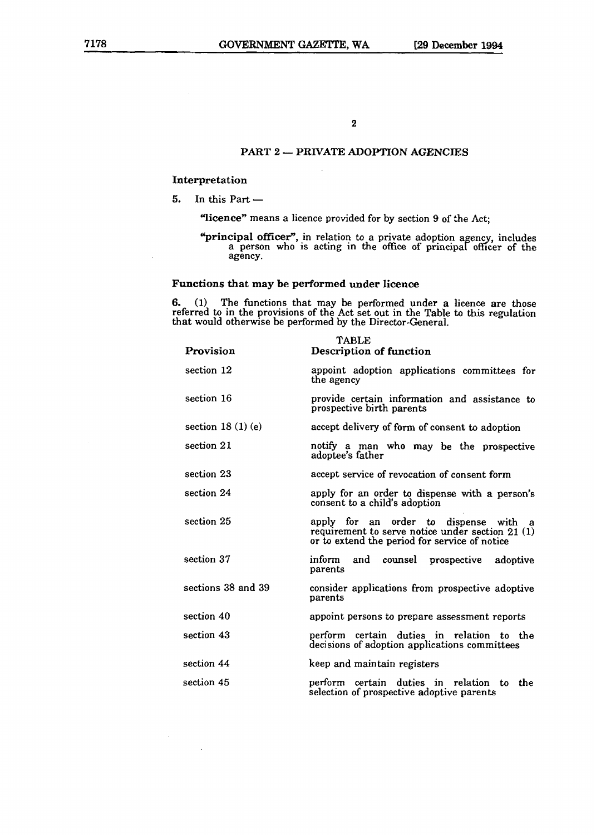## **PAIZT 2** - **PRIVATE ADOPTION AGENCIES**

Interpretation<br>5. In this Part —

"licence" means a licence provided for by section 9 of the Act;

"principal officer", in relation to a private adoption agency, includes **example in the officer"**, in relation to a private adoption agency, includes a person who is acting in the office of principal officer of the agency.

### Functions that may be performed under licence

**6. (1)** The functions that may be performed under a licence are those referred to in the provisions of the Act set out in the Table **ta** this regulation that would otherwse be performed by the Director-General.

| Provision          | <b>TABLE</b><br>Description of function                                                                                                    |
|--------------------|--------------------------------------------------------------------------------------------------------------------------------------------|
| section 12         | appoint adoption applications committees for<br>the agency                                                                                 |
| section 16         | provide certain information and assistance to<br>prospective birth parents                                                                 |
| section $18(1)(e)$ | accept delivery of form of consent to adoption                                                                                             |
| section 21         | notify a man who may be the prospective<br>adoptee's father                                                                                |
| section 23         | accept service of revocation of consent form                                                                                               |
| section 24         | apply for an order to dispense with a person's<br>consent to a child's adoption                                                            |
| section 25         | apply for an order to dispense with a<br>requirement to serve notice under section 21 (1)<br>or to extend the period for service of notice |
| section 37         | and counsel prospective adoptive<br>inform<br>parents                                                                                      |
| sections 38 and 39 | consider applications from prospective adoptive<br>parents                                                                                 |
| section 40         | appoint persons to prepare assessment reports                                                                                              |
| section 43         | perform certain duties in relation to the<br>decisions of adoption applications committees                                                 |
| section 44         | keep and maintain registers                                                                                                                |
| section 45         | perform certain duties in relation to<br>- the<br>selection of prospective adoptive parents                                                |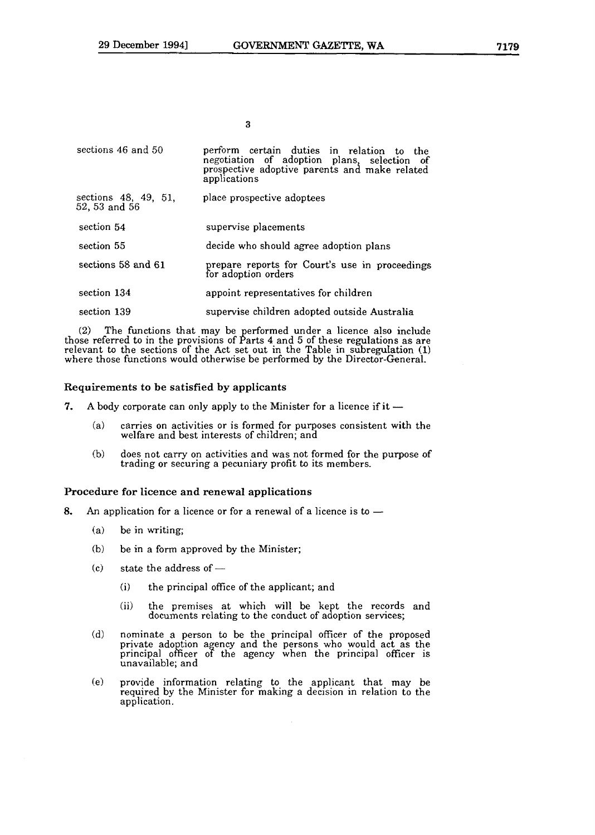| sections 46 and 50                    | perform certain duties in relation to the<br>negotiation of adoption plans, selection of<br>prospective adoptive parents and make related<br>applications |
|---------------------------------------|-----------------------------------------------------------------------------------------------------------------------------------------------------------|
| sections 48, 49, 51,<br>52, 53 and 56 | place prospective adoptees                                                                                                                                |
| section 54                            | supervise placements                                                                                                                                      |
| section 55                            | decide who should agree adoption plans                                                                                                                    |
| sections 58 and 61                    | prepare reports for Court's use in proceedings<br>for adoption orders                                                                                     |
| section 134                           | appoint representatives for children                                                                                                                      |
| section 139                           | supervise children adopted outside Australia                                                                                                              |
|                                       |                                                                                                                                                           |

**(2)** The functions that may be erformed under a licence also include those referred to in the provisions of {arts 4 and 5 of these regulations as are relevant to the sections of the Act set out in the Table in subregulation **(1)**  where those functions would otherwise be performed by the Director-General.

#### Requirements to be satisfied by applicants

- **7.** A body corporate can only apply to the Minister for a licence if it
	- (a) carries on activities or is formed for purposes consistent with the welfare and best interests of children; and
	- (b) does not carry on activities and was not formed for the purpose of trading or securing a pecuniary profit to its members.

#### Procedure for licence and renewal applications

- **8.** An application for a licence or for a renewal of a licence is to  $-$ 
	- (a) be in writing;
	- (b) be in a form approved by the Minister;<br>(c) state the address of  $-$
	- - (i) the principal ofice of the applicant; and
		- (ii) the premises at which will be kept the records and documents relating to the conduct of adoption services;
	- (d) nominate a person to be the principal officer of the proposed private adoption agency and the persons who would act as the principal officer of the agency when the principal officer is unavailable; and
	- (e) provide information relating to the applicant that may be required by the Minister for making a decision in relation to the application.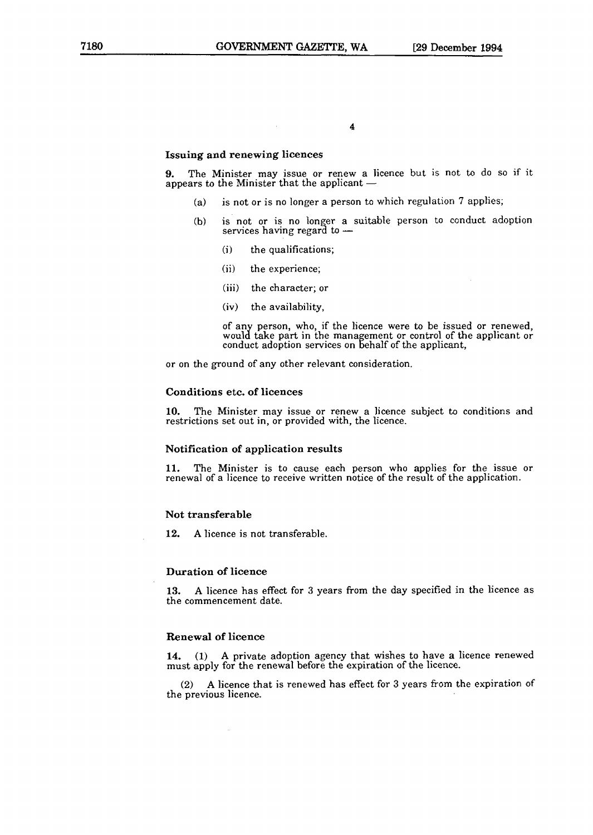$\boldsymbol{4}$ 

#### **Issuing and renewing licences**

**9.** The Minister may issue or renew a licence but is not **to** do so if it **9.** The Minister may issue or renew a lice appears to the Minister that the applicant  $-$ 

- (a) is not or is no longer a person to which regulation **7** applies;
- (b) is not or is no longer a suitable person to conduct adoption services having regard to  $-$ 
	- (i) the qualifications;

 $\mathcal{A}$ 

- (ii) the experience;
- (iii) the character; or
- (iv) the availability,

of any person, who, if the licence were to be issued or renewed, would take part in the management or control of the applicant or conduct adoption services on behalf of the applicant,

or on the ground of any other relevant consideration.

#### **Conditions etc. of licences**

**10.** The Minister may issue or renew a licence subject to conditions and restrictions set out in, or provided with, the licence.

#### **Notification of application results**

11. The Minister is to cause each person who applies for the issue or renewal of a licence to receive written notice of the result of the application.

#### **Not transferable**

**12. A** licence is not transferable.

#### **Duration of licence**

**13. A** licence has effect for **3** years from the day specified in the licence as the commencement date.

#### **Renewal of licence**

**14. (1) A** private adoption agency that wishes to have a licence renewed must apply for the renewal before the expiration of the licence.

(2) **A** licence that is renewed has effect for **3** years from the expiration of the previous licence.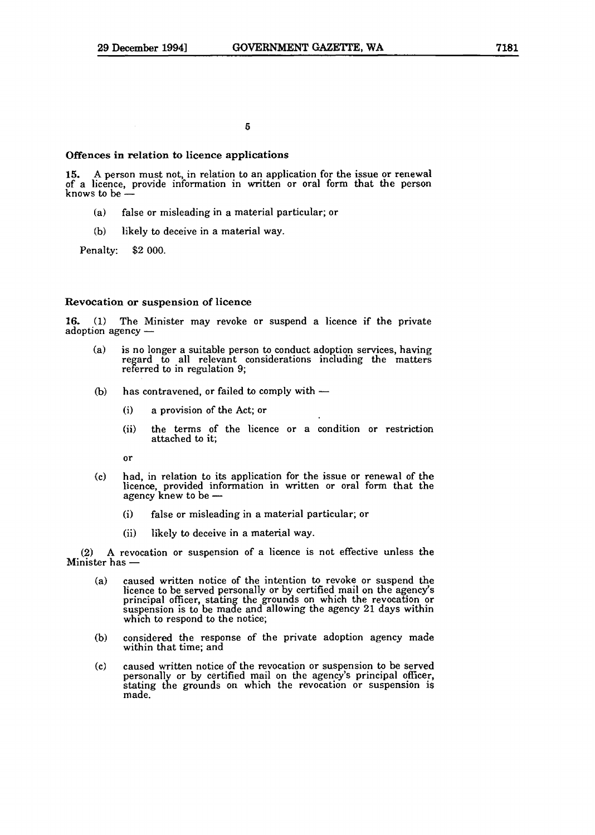#### **Offences in relation** *to* **licence applications**

**15. A** person must not, in relation to an application for the issue or renewal of a licence, provide information in written or oral form that the person<br>knows to be --

- (a) false or misleading in a material particular; or
- (b) likely to deceive in a material way.

Penalty: \$2 000.

#### **Revocation or suspension of licence**

**16.** (1) The Minister may revoke or suspend a licence if the private adoption agency -

- is no longer a suitable person to conduct adoption services, having  $(a)$ regard to all relevant considerations including the matters referred to in regulation 9;
- has contravened, or failed to comply with - $(b)$ 
	- (i) a provision of the Act; or
	- (ii) the terms of the licence or a condition or restriction attached to it;

 $\alpha r$ 

- had, in relation to its a<br>licence, provided inforn<br>agency knew to be --- $(c)$ had, in relation to its application for the issue or renewal of the licence, provided information in written or oral form that the
	- (i) false or misleading in a material particular; or
	- (ii) likely to deceive in a material way.

**(2)** A. revocation or suspension of a licence is not effective unless the Minister has -

- (a) caused written notice of the intention to revoke or suspend the licence to be served personally or by certified mail on the agency's licence to be served personally or by certified mail on the agency's<br>principal officer, stating the grounds on which the revocation or suspension is to be made and allowing the agency 21 days within which to respond to the notice;
- **(b)** considered the response of the private adoption agency made within that time; and
- fc) caused written notice of the revocation or suspension to be served personally or by certified mail on the agency's principal officer, made. stating the grounds on which the revocation or suspension is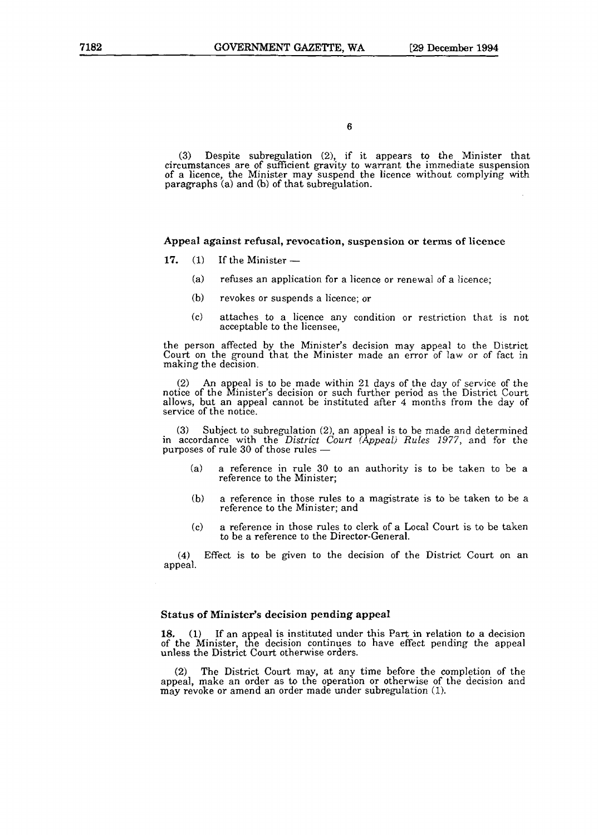**(3)** Despite subregulation (21, if it appears to the Minister that circumstances are of sufficient gravity **to** warrant the immediate suspension of **<sup>a</sup>**licence, the Minister may suspend the licence without complying with of a licence, the Minister may suspend the licence without complying with paragraphs (a) and (b) of that subregulation.

Appeal against refusal, revocation, suspension or terms of licence<br>17. (1) If the Minister -

- - **(a)** refuses an application for a licence or renewal of a licence;
	- (b) revokes or suspends a licence; or
	- (C) attaches to a licence any condition or restriction that is not acceptable to the licensee,

the person affected by the Minister's decision may appeal to the District Court on the ground that the Minister made an error of law or of fact in making the decision.

*(2)* An appeal is to be made within 21 days of the day of service of the notice of the Minister's decision or such further period as the District Court allows, but an appeal cannot be instituted after **4** months from the day of service of the notice.

Subject to subregulation (2), an appeal is to be made and determined in accordance with the District *Coun i\$peal) Rules* 1977, and for the (3) Subject to subregulation (2), a<br>in accordance with the *District Cou*<br>purposes of rule 30 of those rules -

- (a) a reference in rule 30 to an authority is to be taken to be a reference to the Minister;
- (b) a reference in those rules to a magistrate is to be taken **to** be a reference to the Minister; and
- (C) a reference in those rules to clerk of a Local Court is to be taken to be a reference to the Director-General.

**(4)** Effect is to be given to the decision of the District Court on an appeal.

#### **Status of Minister's decision pending appeal**

**18.** (1) If an appeal is instituted under this Part in relation to a decision of the Minister, the decision continues to have effect pending the appeal unless the District Court otherwise orders.

(2) The District Court may, at any time before the completion of the appeal, make an order as to the operation or otherwise of the decision and may revoke or amend an order made under subregulation **(1).**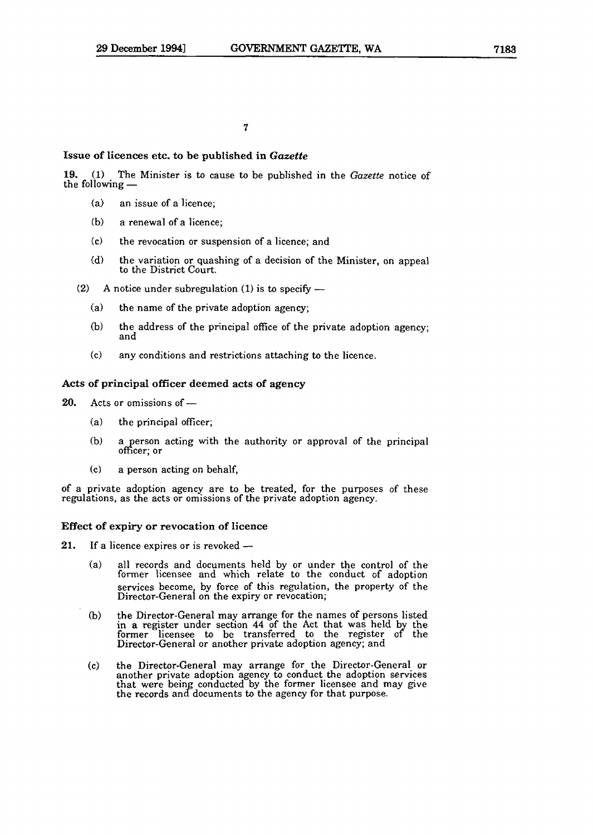#### **Issue of licences etc. to be published in** *Gazette*

**19. (1)** The Minister is to cause to be published in the *Gazette* notice of the following  $-$ 

- **(a)** an issue of a licence;
- (b) a renewal of a licence;
- (C) the revocation or suspension of a licence; and
- (d) the variation or quashing of a decision of the Minister, on appeal to the District Court.
- $(2)$  **A** notice under subregulation  $(1)$  is to specify
	- (a) the name of the private adoption agency;
	- (b) the address of the principal ofice of the private adoption agency; and
	- (c) any conditions and restrictions attaching to the licence.

### Acts of principal officer deemed acts of agency<br> **20.** Acts or omissions of --

- - (a) the principal officer;
	- (b) a person acting with the authority or approval of the principal officer; or
	- **(C)** a person acting on behalf,

of a private adoption agency are to be treated, for the purposes of these regulations, as the acts or omissions of the private adoption agency.

### **Effect of expiry or revocation of licence**<br> **21.** If a licence expires or is revoked --

- - (a) all records and documents held by or under the control of the former licensee and which relate to the conduct of adoption services become, by force of this regulation, the property of the Director-General on the expiry or revocation;
	- (b) the Director-General may arrange for the names of persons listed in a register under section 44 of the Act that was held by the former licensee to be transferred to the register of the Director-General or another private adoption agency; and
	- (C) the Director-General may arrange for the Director-General or another private adoption agency to conduct the adoption services that were being conducted by the former licensee and may give the records and documents to the agency for that purpose.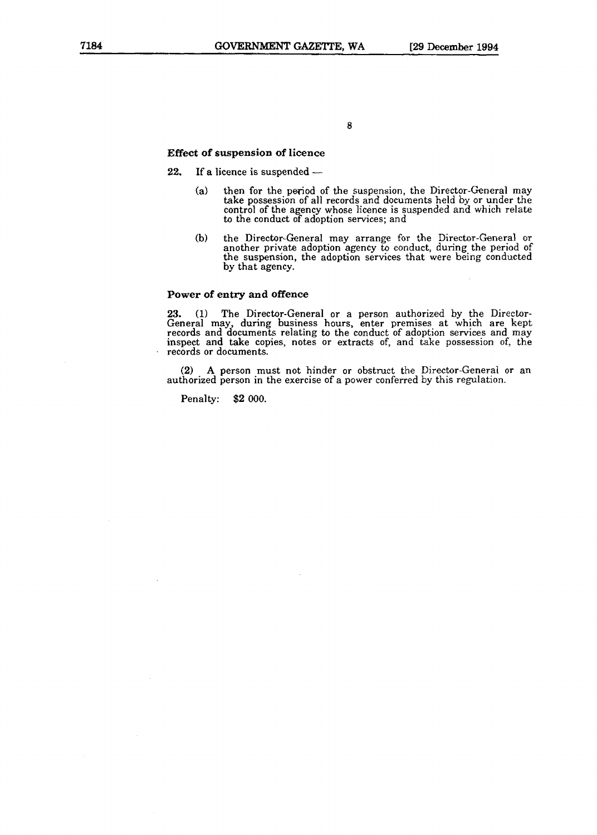## **Effect of suspension of licence**<br> **22.** If a licence is suspended --

- - (a) then for the period of the suspension, the Director-General may take possession of all records and documents held by or under the control of the agency whose licence is suspended and which relate to the conduct of adoption services; and
	- (b) the Director-General may arrange for the Director-General or another private adoption agency to conduct, during the period of the suspension, the adoption services that were being conducted by that agency.

#### **Power of entry and offence**

23. **(1)** The Director-General or **a** person authorized by the Director-General may, during business hours, enter premises at which are kept<br>records and documents relating to the conduct of adoption services and may<br>inspect and take copies, notes or extracts of, and take possession of, the inspect and take copies, notes or extracts of, and take possession of, the records or documents.

(2) **A** person must not hinder or obstruct the Director-General or an authorized person in the exercise of a power conferred by this regulation.

Penalty: \$2 000.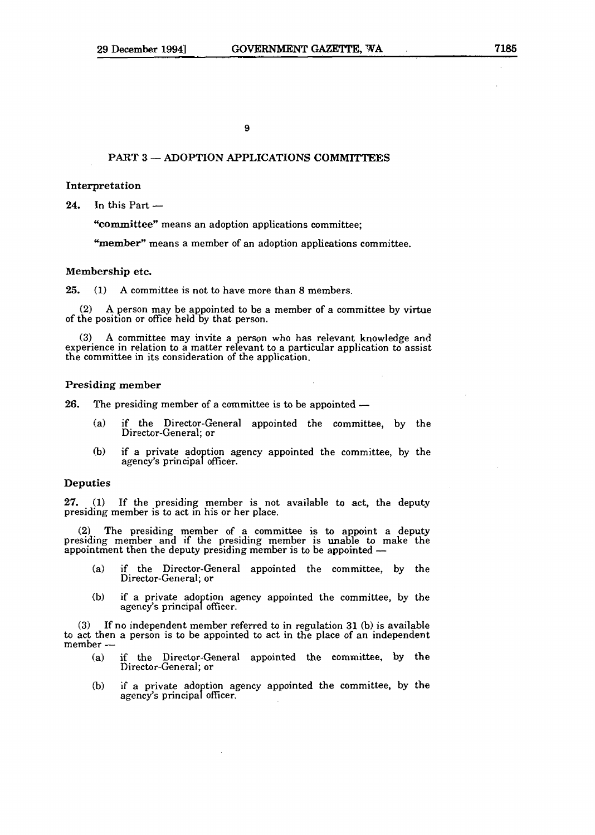#### **PART 3** - **ADOPTlON APPLICATIONS COMMITTEES**

**Interpretation**<br>**24.** In this Part —

**Ucommittee"** means an adoption applications committee;

"member" means a member of an adoption applications committee.

#### **Membership etc.**

**25. (1) A** committee is not to have more than 8 members.

**(2) A** person may be appointed to be a member of a committee by virtue of the position or office held by that person.

A committee may invite a person who has relevant knowledge and experience in relation to a matter relevant to a particular application to assist the committee in its consideration of the application.

#### **Presiding member**

26. The presiding member of a committee is to be appointed —

- **(a)** if the Director-General appointed the committee, by the Director-General; or
- (b) if a private adoption agency appointed the committee, by the agency's principal officer.

#### **Deputies**

27. **(1)** If the presiding member is not available to act, the deputy presiding member is to act in his or her place.

**(2)** The presiding member of a committee is to appoint a deputy presiding member and if the presiding member is unable to make the appointment then the deputy presiding member is to be appointed -

- *(a)* if the Director-General appointed the committee, by the Director-General; or
- (b) if a private adoption agency appointed the committee, by the agency's principal officer.

(3) If no independent member referred to in regulation 31 (b) is available to act then a person is to be appointed to act in the place of an independent member -

- (a) if the Director-General appointed the committee, by the Director-General; or
- (b) if a private adoption agency appointed the committee, by the agency's principal officer.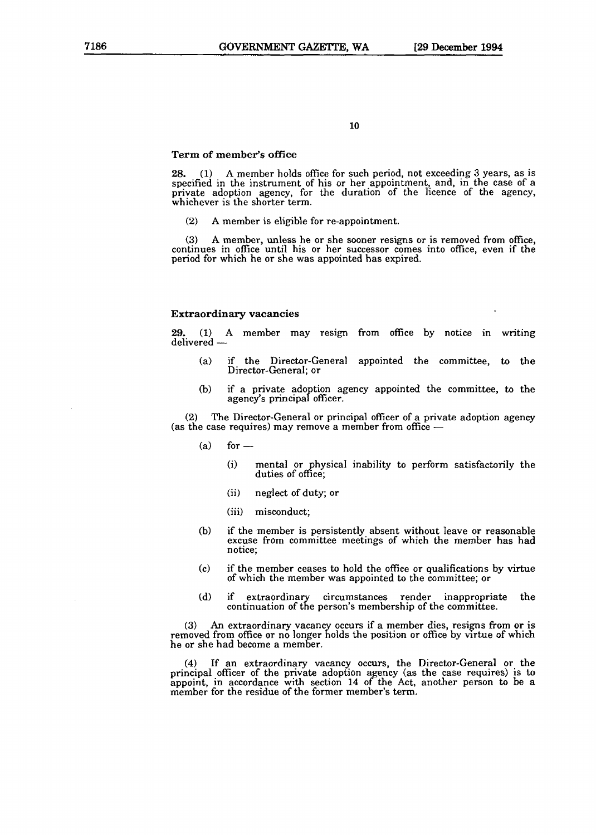#### **Term of member's office**

**28. (1) A** member holds office for such period, not exceeding 3 years, as is specified in the instrument of his or her appointment, and, in the case of a private adoption agency, for the duration of the licence of the agency, whichever is the shorter term.

(2) **A** member is eligible for re-appointment.

**(3) A** member, unless he or she sooner resigns or is removed from office, continues in ofice until his or her successor comes into ofice, even if the period for which he or she was appointed has expired.

#### **Extraordinary vacancies**

29. (1) A member may resign from office by notice in writing delivered --

- (a) if the Director-General appointed the committee, to the Director-General; or
- (b) if a private adoption agency appointed the committee, to the agency's principal officer.

(2) The Director-General or principal officer of a private adoption agency (as the case requires) may remove a member from office  $-$ <br>(a) for  $-$ 

- $(a)$ 
	- (i) mental or hysical inability to perform satisfactorily the duties of office;
	- (ii) neglect of duty; or
	- (iii) misconduct;
- $(b)$ if the member is persistently absent without leave or reasonable excuse from committee meetings of which the member **has** had notice;
- $(c)$ if the member ceases to hold the office or qualifications by virtue of which the member was appointed to the committee; or
- $(d)$ if extraordinary circumstances render inappropriate the continuation of the person's membership of the committee.

(3) An extraordinary vacancy occurs if a member dies, resigns from or is removed from office or no longer iolds the position or ofice by virtue of which he or she had become a member.

**(4** If an extraordinary vacancy occurs, the Director-General or the principal officer of the private adoption agency (as the case requires) is to (3) An extraordinary vacancy occurs if a member dies, resigns from or is<br>removed from office or no longer holds the position or office by virtue of which<br>he or she had become a member.<br>(4) If an extraordinary vacancy occur member for the residue of the former member's term.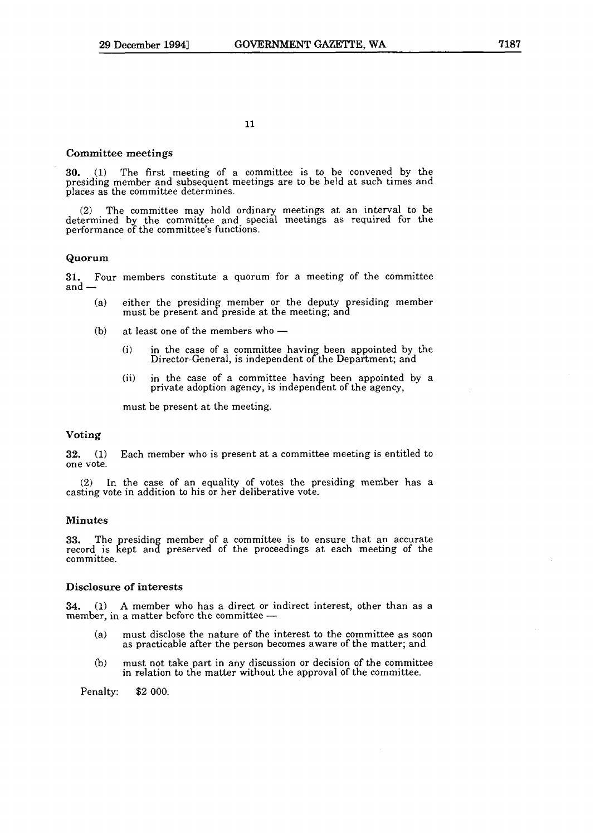#### Committee **meetings**

**30. (1)** The first meeting of a committee is to be convened by the presiding member and subsequent meetings are to be held at such times and places as the committee determines.

**(2)** The committee may hold ordinary meetings at an interval to be determined by the committee and special meetings as required for the performance of the committee's functions.

#### **Quorum**

**31.** Four members constitute a quorum for a meeting of the committee  $\frac{31.}{\text{and}}$  Fou

- (a) either the presiding member or the deputy presiding member (a) entitler the presiding inember of the deputy premust be present and preside at the meeting; and<br>(b) at least one of the members who --
- - (i) in the case of a committee having been appointed by the Director-General, is independent of the Department; and
	- $(ii)$  in the case of a committee having been appointed by a private adoption agency, is independent of the agency,

must be present at the meeting.

#### Voting

**32.** (1) Each member who is present at a committee meeting is entitled to one vote.

(2) In the case of an equality of votes the presiding member has a casting vote in addition to his or her deliberative vote.

#### **Minutes**

33. The presiding member of a committee is to ensure that an accurate record is kept and preserved of the proceedings at each meeting of the committee.

#### **Disclosure of interests**

**34. (1) A** member who has a direct or indirect interest, other than as a member, in a matter before the committee -

- (a) must disclose the nature of the interest to the committee as soon as practicable after the person becomes aware of the matter; and
- (b) must not take part in any discussion or decision of the committee in relation to the matter without the approval of the committee.

Penalty: **\$2** 000.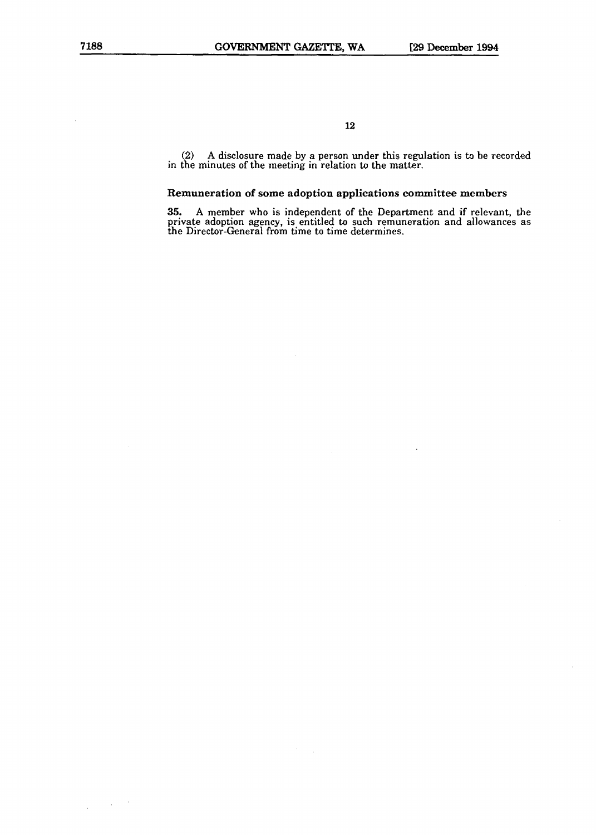$\sim$  $\sim 10^7$ 

 $\mathcal{L}$ 

12

**(2)** A disclosure made by a person under this regulation is **to** be recorded in the minutes of the meeting in relation to the matter.

#### **Remuneration** of some **adoption applications** committee **members**

**35.** A member who is independent of the Department and if relevant, the private adoption agency, is entitled **to** such remuneration and allowances as the Director-General from time to time determines.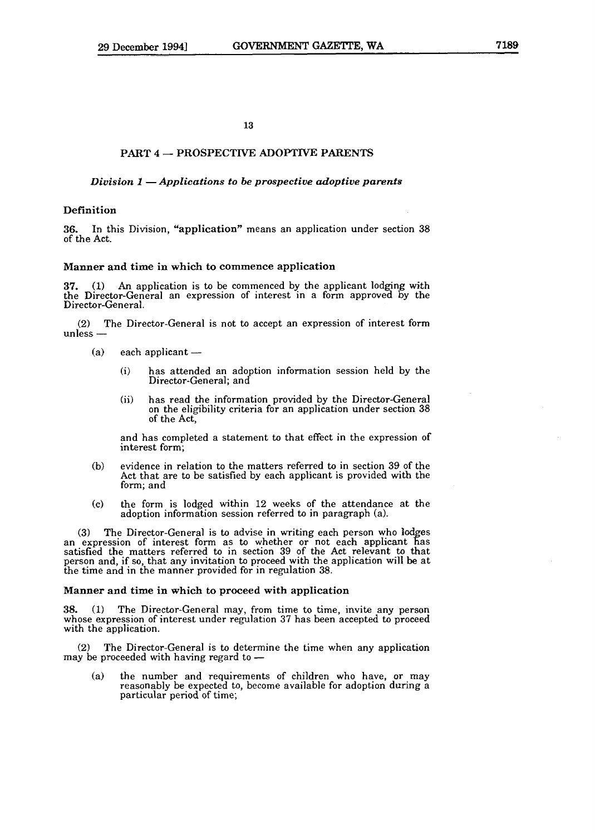## <sup>13</sup><br>PART 4 -- PROSPECTIVE ADOPTIVE PARENTS

#### *Division I* - *Applications to be prospective adoptive parents*

#### **Definition**

**36.** In this Division, **Uapplication"** means an application under section **38**  of the Act.

#### **Manner and time in which to commence application**

**37.** (1) An application is to be commenced by the applicant lodging with Director-General. the Director-General an expression of interest in a form approved by the

**(2)** The Director-General is not to accept an expression of interest form unless -

- (a) each applicant  $-$ 
	- (i) has attended an adoption information session held by the Director-General; and
	- (ii) has read the information provided by the Director-General on the eligibility criteria for an application under section **38**  of the Act,

and has completed a statement to that effect in the expression of interest form;

- (b) evidence in relation to the matters referred to in section **39** of the Act that are to be satisfied by each applicant is provided with the form; and
- $(c)$ the form is lodged within 12 weeks of the attendance **at** the adoption information session referred to in paragraph (a).

(3) The Director-General is to advise in writing each person who lodges an expression of interest form as to whether or not each applicant **fas**  satisfied the matters referred to in section **39** of the Act relevant to that person and, if so, that any invitation to proceed with the application will be at the time and in the manner provided for in regulation **38.** 

#### **Manner and time in which to proceed with application**

**38.** (1) The Director-General may, from time to time, invite any person whose expression of interest under regulation **37** has been accepted to proceed with the application.

(2) The Director-General is to determine the time when any application may be proceeded with having regard to -

(a) the number and requirements of children who have, or may reasonably be expected to, become available for adoption during **<sup>a</sup>** particular period of time;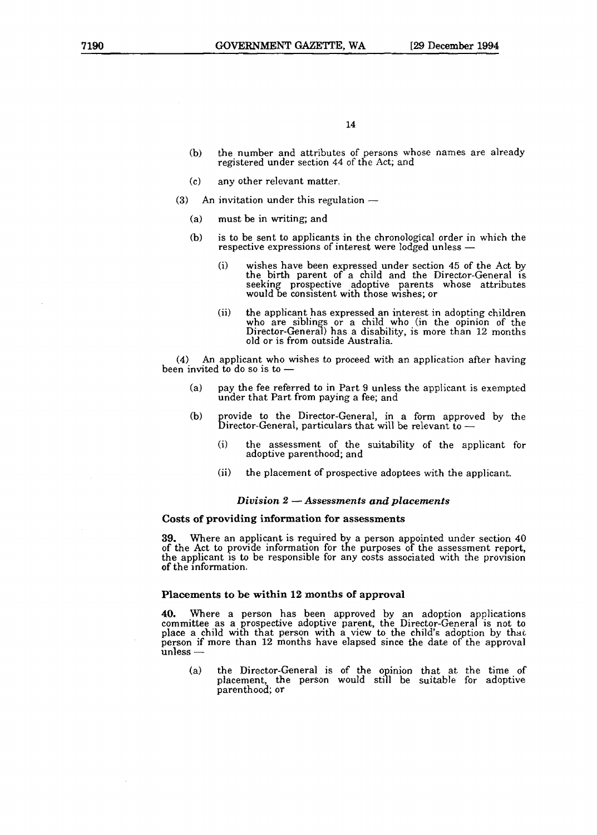- (b) the number and attributes of persons whose names are already registered under section 44 of the Act; and
- (c) any other relevant matter
- $(3)$  An invitation under this regulation  $-$ 
	- (a) must be in writing; and
	- (b) is to be sent to applicants in the chronological order in which the must be in writing, and<br>is to be sent to applicants in the chronological order in w<br>respective expressions of interest were lodged unless —
		- **(i)** wishes have been expressed under section **45** of the Act by the birth parent of a child and the Director-General is seeking prospective adoptive parents whose attributes<br>would be consistent with those wishes; or
		- (ii) the applicant has expressed an interest in adopting children who are siblings or a child who (in the opinion of the Director-General) has a disability, is more than 12 months old or is from outside Australia.

**(4) An** applicant who wishes to proceed with an application after having been invited to do so is to -

- (a) pay the fee referred to in Part 9 unless the applicant is exempted under that Part from paying a fee; and
- (b) provide to the Director-General, in a form approved by the nder that rart from paying a fee, and<br>rovide to the Director-General, in a form approved<br>irector-General, particulars that will be relevant to --
	- (i) the assessment of the suitability of the applicant for adoptive parenthood; and
	- (ii) the placement of prospective adoptees with the applicant.

#### *Division 2* - *Assessments and placements*

#### **Costs of providing information for assessments**

**39.** Where an applicant is required by a person appointed under section 40 of the Act to provide information for the purposes of the assessment report, the applicant is to be responsible for any costs associated with the provision of the information.

#### **Placements to be within 12 months of approval**

40. Where a person has been approved by an adoption applications committee as a prospective adoptive parent, the Director-General is not to place a child with that person with a view to the child's adoption by that person if more than 12 months have elapsed since the date of the approval place a chil<br>place a chil<br>person if m<br>unless —

(a) the Director-General is of the opinion that at the time of placement, the person would still be suitable for adoptive parenthood; or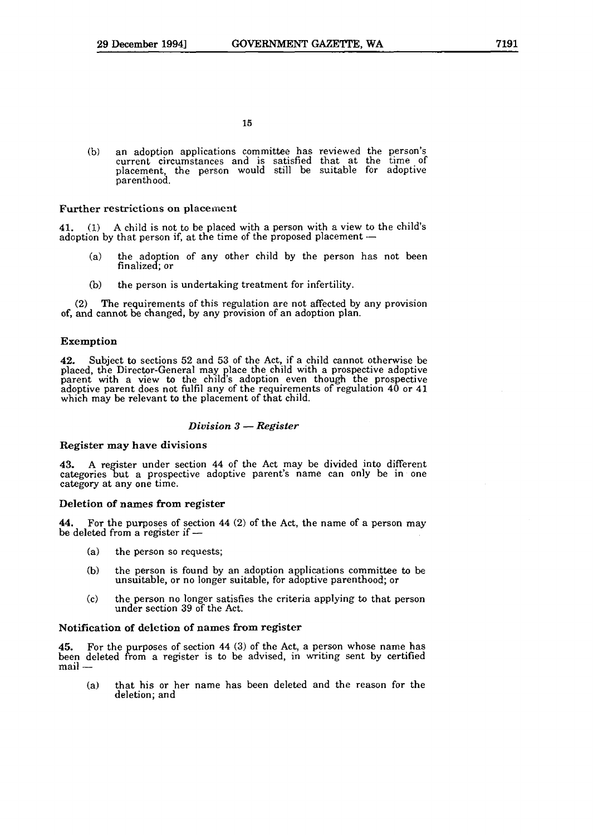(b) an adoption applications committee has reviewed the person's current circumstances and is satisfied that at the tme of placement, the person would still be suitable for adoptive<br>parenthood.

#### Further restrictions on placement

**41. (1)** A child is not to be placed with a person with a view to the child's **41.** (1) A child is not to be placed with a person with a view to the adoption by that person if, at the time of the proposed placement  $\frac{1}{\sqrt{2}}$ 

- (a) the adoption of any other child by the person has not been finalized; or
- *(b)* the person is undertaking treatment for infertility.

(2) The requirements of this regulation are not affected by any provision of, and cannot be changed, by any provision of an adoption plan.

#### Exemption

**42.** Subject to sections 52 and 53 of the Act, if a child cannot otherwise be placed, the Director-General may place the child with a prospective adoptive<br>parent with a view to the child's adoption even though the prospective<br>adoptive parent does not fulfil any of the requirements of regulation 40 o which may be relevant to the placement of that child.

#### *Division 3* - *Register*

#### Register may have divisions

A register under section 44 of the Act may be divided into different categories but a prospective adoptive parent's name can only be in one category at any one time.

#### Deletion of names from register

**44.** For the purposes of section **44** (2) of the Act, the name of a person may be deleted from a register if -

- (a) the person so requests;
- (b) the person is found by an adoption applications committee to be unsuitable, or no longer suitable, for adoptive parenthood; or
- (C) the person no longer satisfies the criteria applying to that person under section **<sup>39</sup>**of the Act.

#### **Notification of** deletion **of** names **from** register

**45.** For the urposes of section **44 (3)** of the Act, **a** person whose name has **45.** For<br>been dele<br>mail been deleted from a register is to be advised, in writing sent by certified

**(a)** that his or her name has been deleted and the reason for the deletion; and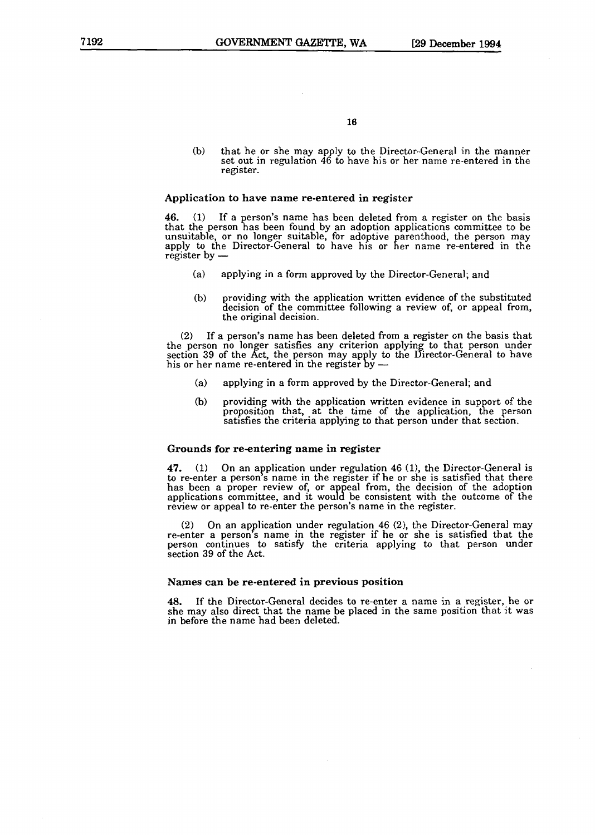(b) that he or she may apply to the Director-General in the manner set out in regulation 46 to have his or her name re-entered in the register.

#### Application to have name re-entered in **register**

46. (1) If a person's name has been deleted from a register on the basis that the person has been found by an adoption applications committee to be unsuitable, or no longer suitable, for adoptive parenthood, the person may apply to the Director-General to have his or her name re-entered in the register by —

- (a) applying in a form approved by the Director-General; and
- (b) providing with the application written evidence of the substituted decision of the committee following a review of, or appeal from, the original decision.

(2) If a person's name has been deleted from a register on the basis that the person no longer satisfies any criterion applying to that person under section 39 of the Act, the person may apply to the Director-General to have the person no longer satisfies any criterion app<br>section 39 of the Act, the person may apply to this or her name re-entered in the register by —

- (a) applying in a form approved by the Director-General; and
- (b) providing with the application written evidence in support of the proposition that, at the time of the application, the person satisfies the criteria applying to that person under that section.

#### Grounds for re-entering name in register

**47.** (1) On an application under regulation 46 (l), the Director-General is to re-enter a person's name in the register if he or she is satisfied that there has been a proper review of, or appeal from, the decision of the adoption applications committee, and it would be consistent with the outcome of the review or appeal to re-enter the person's name in the register.

(2) On an application under regulation  $46$  (2), the Director-General may re-enter a person's name in the register if he or she is satisfied that the person continues to satisfy the criteria applying to that person under section **39** of the Act.

#### Names can be re-entered in previous position

**48.** If the Director-General decides to re-enter a name in a register, he or she may also direct that the name be placed in the same position that it was in before the name had been deleted.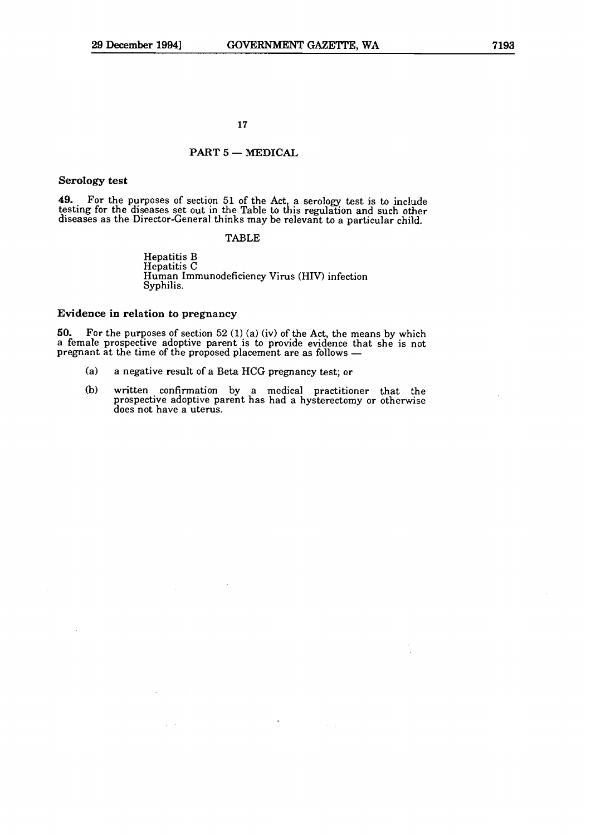## **PART 5 — MEDICAL**

#### **Serology test**

**49.** For the purposes of section 51 of the Act a serology test is to include testing for the diseases set out in the Table to this regulation and such other diseases as the Director-General thinks may be relevant to a particular child.

#### **TABLE**

Hepatitis B Hepatitis C Human Immunodeficiency Virus (HIV) infection Syphilis.

### **Evidence in relation to pregnancy**

 $\frac{1}{2}$  ,  $\frac{1}{2}$ 

**50.** For the purposes of section 52 **(1)** (a) (iv) of the Act, the means by which a female prospective adoptive parent is to provide evidence that she is not 50. For the purposes of section 52 (1) (a) (iv) of the Act, the mean<br>a female prospective adoptive parent is to provide evidence that<br>pregnant at the time of the proposed placement are as follows —

- (a) a negative result of a Beta HCG pregnancy test; or
- **(b)** written confirmation by a medical practitioner that the prospective adoptive parent has had a hysterectomy or otherwise does not have a uterus.

 $\mathcal{F}^{\text{max}}_{\text{max}}$  and  $\mathcal{F}^{\text{max}}_{\text{max}}$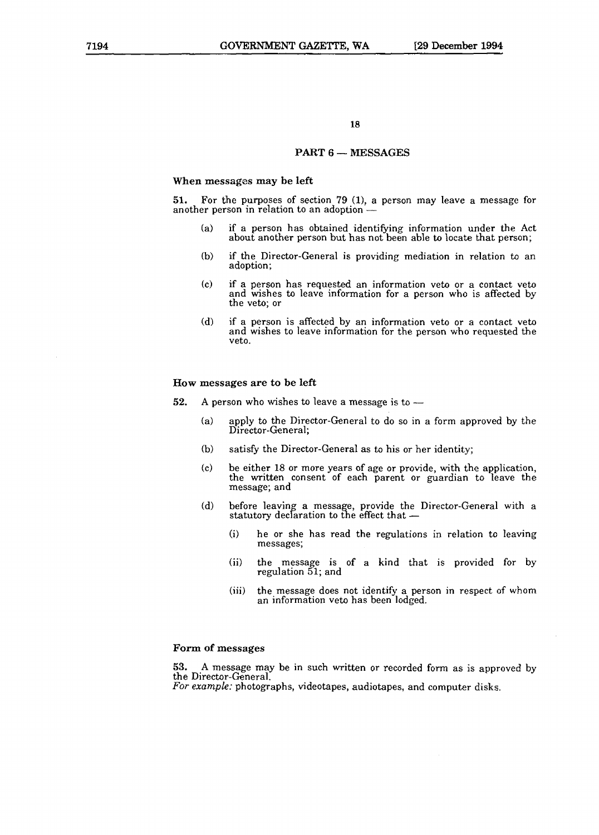## <sup>18</sup><br>PART 6 - MESSAGES

#### **When messages may be left**

**51.** For the purposes of section 79 **(l),** a person may leave a message for another person in relation to an adoption

- (a) if a person has obtained identifying information under the Act about another person but has not been able to locate that person;
- **(b)** if the Director-General is providing mediation in relation to an adoption;
- (C) if a person has requested an information veto or a contact veto and wishes to leave information for a person who is affected by the veto; or
- (d) if a person is affected by an information veto or a contact veto and wishes to leave information for the person who requested the veto.

#### **How messages are to be left**

- **52.** A person who wishes to leave a message is to  $$ 
	- apply to the Director-General to do so in a form approved by the  $(a)$ Director-General;
	- $(b)$ satisfy the Director-General as to his or her identity;
	- be either 18 or more years of age or provide, with the application, the written consent of each parent or guardian to leave the  $(c)$ the written consent of each parent or g<br>message; and<br>before leaving a message, provide the Di<br>statutory declaration to the effect that message; and
	- $(d)$ before leaving a message, provide the Director-General with a statutory declaration to the effect that  $-$ 
		- (i) he or she has read the regulations in relation to Ieaving messages;
		- (ii) the message is of a kind that is provided for by regulation 51; and
		- (iii) the message does not identify a person in respect of whom an information veto has been lodged.

#### **Form of messages**

**53. A** message may be in such written or recorded form as is approved by the Director-General. For *example:* photographs, videotapes, audiotapes, and computer disks.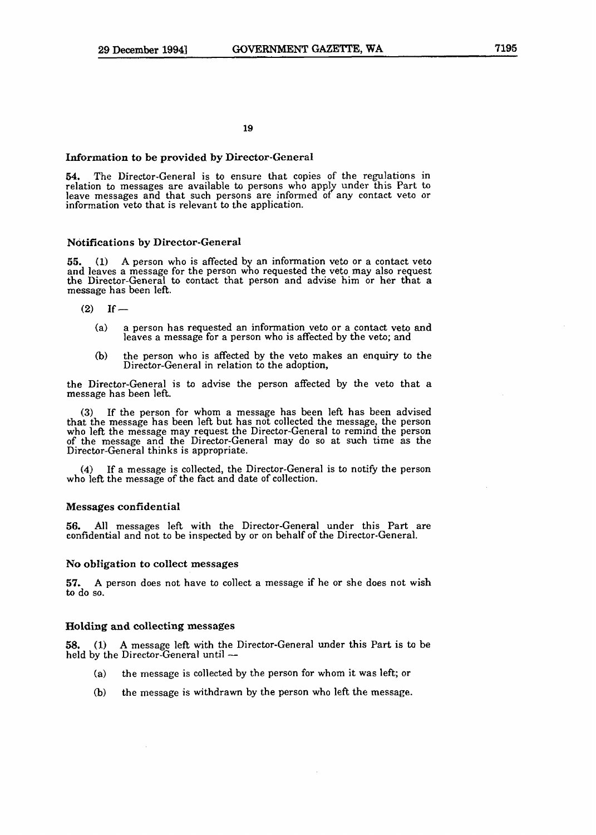#### Information to be provided by Director-General

**54.** The Director-General is to ensure that copies of the regulations in relation to messages are available to persons who apply under this Part to relation to messages are available to persons who apply under this rart to leave messages and that such persons are informed of any contact veto or information veto that is relevant to the application.

#### Notifications by Director-General

55. (1) A person who is affected by an information veto or a contact veto and leaves a message for the person who requested the veto may also request the Director-General to contact that person and advise him or her that a message has been left.

- $(2)$  If
	- **(a) a** person has requested an information veto or a contact veto **and**  leaves a message for a person who is affected by the veto; and
	- **(b)** the person who is affected by the veto makes an enquiry **to** the Director-General in relation to the adoption,

the Director-General is to advise the person affected by the veto that a message has been left.

(3) If the person for whom a message has been left has been advised that the message has been left but has not collected the message, the person who left the message may request the Director-General to remind the person of the message and the Director-General may do so at such time as the Director-General thinks is appropriate.

**(4)** If a message is collected, the Director-General is to notify the person who left the message of the fact and date of collection.

#### Messages confidential

56. All messages left with the Director-General under this Part are confidential and not to be inspected by or on behalf of the Director-General.

#### No obligation to collect messages

**57.** A person does not have to collect a message if he or she does not wish to do so.

#### Holding **and** collecting messages

**58.** (l) A message left with the Director-General under this Part is to be held by the Director-General until -

- **(a)** the message is collected by the person for whom it was left; or
- **(b)** the message is withdrawn by the person who left the message.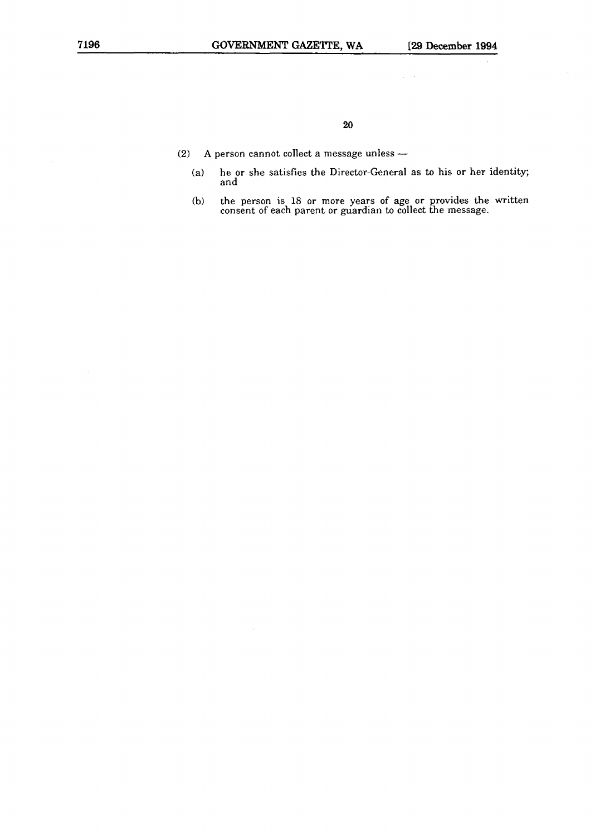$\chi^2 \to \pi^0$ 

**(2)** A person cannot collect a message unless -

- (a) he or she satisfies the Director-General as to his or her identity; and
- b) the person is 18 or more years of age or provides the written consent of each parent or guardian to collect the message.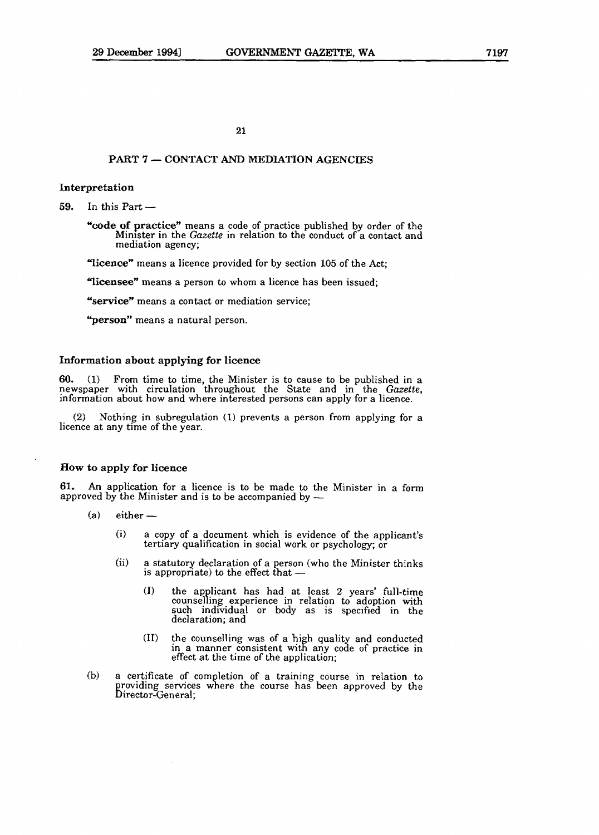## <sup>21</sup><br>PART 7 — CONTACT AND MEDIATION AGENCIES

**Interpretation**<br>**59.** In this Part --

**"code of practice"** means a code of practice published by order of the Minlster in the *Gazette* in relation to the conduct of a contact and mediation agency;

**'licence"** means a licence provided for by section 105 of the Act;

**"Licenseen** means a person to whom a licence has been issued;

**"service"** means **a** contact or mediation service;

**"person"** means **a** natural person.

#### **Information about applying for licence**

**60. (1)** From time to time, the Minister is to cause to be published in a newspaper with circulation throughout the State and in the *Gazette,* information about how and where interested persons can apply for a licence.

**(2)** Nothing in subregulation **(1)** prevents a person from applying for a licence at any time of the year.

#### **How to apply for licence**

**61. An** application for a licence is to be made to the Minister in a form 31. An application for a licence is to be made to the N<br>approved by the Minister and is to be accompanied by — **(a)** either -

 $\sigma_{\rm c}$  ,  $\sigma_{\rm c}$  ,  $\sigma_{\rm c}$  ,  $\sigma_{\rm c}$ 

- **(i)** a copy of a document which is evidence of the applicant's tertiary qualification in social work or psychology; or
- ii) a statutory declaration of a person (who the Minister thinks is a statutory declaration of a person (w)<br>s appropriate) to the effect that --
	- **(I)** the ap licant has had at least **2** years' full-time counselling experience in relation to adoption with such individual or body as is specified in the declaration; and
	- II) the counselling was of a high quality and conducted n a manner consistent with any code of practice in effect at the time of the application;
- (b) a certificate of completion of a training course in relation to oviding services where the course has been approved by the Director-General;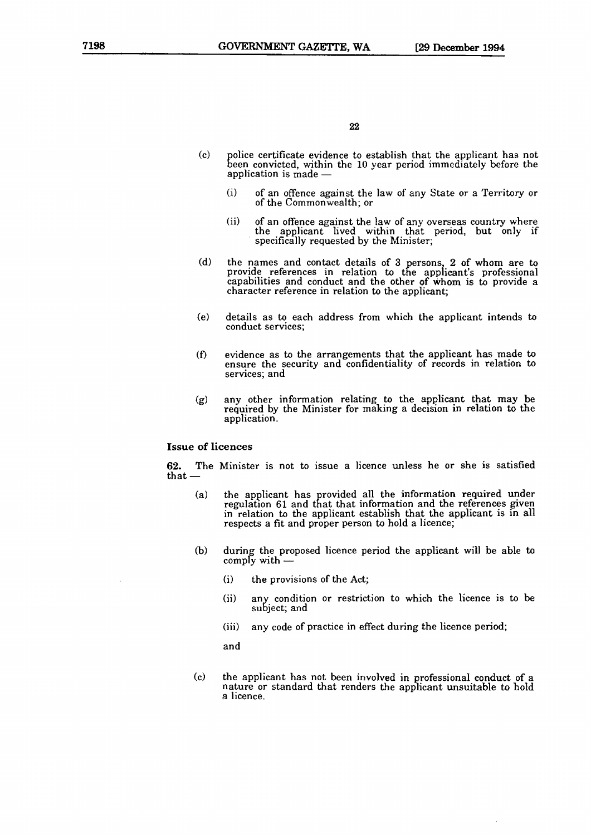- police certificate evidenc<br>been convicted, within th<br>application is made  $(c)$ police certificate evidence to establish that the applicant has not geen convicted, within the **10** year period immediately before the
	- (i) of an offence against the law of any State or a Territory or of the Commonwealth; or
	- (ii) of an offence against the law of any overseas country where the applicant lived within that period, but only if specifically requested by the Minister;
- $(d)$ the names and contact details of 3 persons, 2 of whom are to provide references in relation to the applicant's professional capabilities and conduct and the other of whom is to provide a character reference in relation to the applicant;
- (e) details as to each address from which the applicant intends to conduct services;
- $(f)$ evidence as to the arrangements that the applicant has made to ensure the security and confidentiality of records in relation to services; and
- any other information relating to the applicant that may be  $(g)$ required by the Minister for making a decision in relation **to** the application.

#### **Issue of licences**

**62.** The Minister is not to issue a licence unless he or she **is** satisfied that  $-$ 

- (a) the applicant has provided all the information required under regulation 61 and that that information and the references given in relation to the applicant establish that the applicant is in all in relation to the applicant establish that the applicant is in all respects a fit and proper person to hold a licence;
- (b) during the proposed licence period the applicant will be able to during the propo:<br>comply with ---
	- (i) the provisions of the Act;
	- any condition or restriction to which the licence is to be  $(ii)$ subject; and
	- **(iii)** any code of practice in effect during the licence period;

and

(c) the applicant has not been involved in professional conduct of a a licence. nature or standard that renders the applicant unsuitable to hold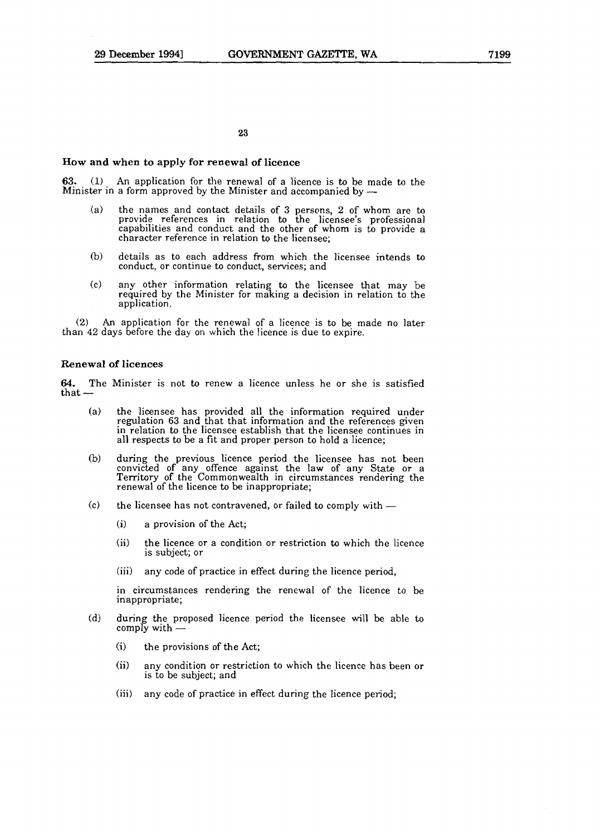#### **How and when to apply for renewal of licence**

**63. (1) An** application for the renewal of a licence is to be made to the Minister in a form approved by the Minister and accompanied by -

- **(a)** the names and contact details of **3** persons, **2** of whom are to provide references in relation to the licensee's professional capabilities and conduct and the other of whom is to provide a character reference in relation to the licensee;
- (b) details as to each address from which the licensee intends **to**  conduct, or continue to conduct, services; and
- (c) any other information relating to the licensee that may be any other information relating to the licensee that may be<br>required by the Minister for making a decision in relation to the application.

(2) **An** a plication for the renewal of a licence is to be made no later than 42 days before the day on which the licence is due to expire.

#### **Renewal of licences**

**64.** The Minister is not to renew a licence unless he or she is satisfied that  $-$ 

- the licensee has provided all the information required under regulation 63 and that that information and the references given  $(a)$ in relation to the licensee establish that the licensee continues in all respects to be a fit and proper person to hold a licence;
- $(b)$ during the previous licence period the licensee has not been convicted of any offence against the law of any State or a Territory of the Commonwealth in circumstances rendering the renewal of the licence to be inappropriate;
- $(c)$ the licensee has not contravened, or failed to comply with  $-$ 
	- $(i)$ a provision of the Act;
	- (ii) the licence or a condition or restriction to which the licence is subject; or
	- (iii) any code of practice in effect during the licence period,

in circumstances rendering the renewal of the licence to be inappropriate;

- $(d)$ during the proposed licence period the licensee will be able **to**   $comply$  with  $-$ 
	- **(i)** the provisions of the Act;
	- **(ii)** any condition or restriction to which the licence has been or is to be subject; and
	- (iii) any code of practice in effect during the licence period;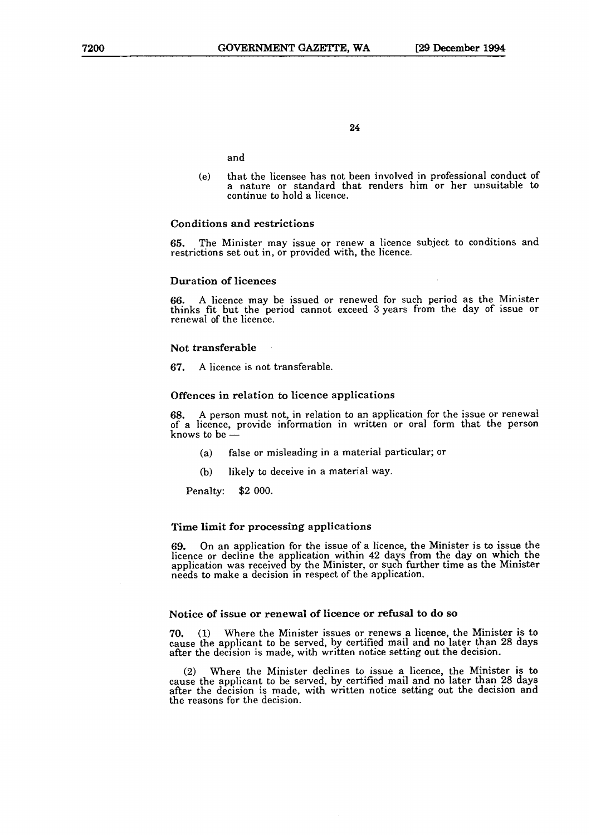and

(e) that the licensee has not been involved in professional conduct of a nature or standard that renders him or her unsuitable to continue to hold a licence.

#### Conditions and restrictions

**65.** The Minister may issue or renew a licence subject to conditions and restrictions set out in, or provided with, the licence.

#### Duration of licences

**66. A** licence may be issued or renewed for such period as the Minister thinks fit but the period cannot exceed **3** years from the day of issue or renewal of the licence.

#### Not transferable

**67. A** licence is not transferable.

#### Offences in relation to licence applications

**68. A** person must not, in relation to an application for the issue or renewal of a licence, provide information in written or oral form that the person 38. A person mi<br>of a licence, prov<br>knows to be --

- (a) false or misleading in a material particular; or
- (b) likely to deceive in a material way.

Penalty: \$2 000.

#### Time limit for processing applications

**69.** On an application for the issue of a licence, the Minister is to issue the licence or decline the application within 42 days from the day on which the application was received by the Minister, or such further time as the Minister needs to make a decision in respect of the application.

#### Notice of issue or renewal of licence or refusal to do so

**70. (1)** Where the Minister issues or renews **a** licence, the Minister is to cause the applicant to be served, by certified mail and no later than 28 days after the decision is made, with written notice setting out the decision.

(2) Where the Minister declines to issue a licence, the Minister is to cause the applicant to be served, by certified mail and no later than 28 days after the decision is made, with written notice setting out the decision and the reasons for the decision.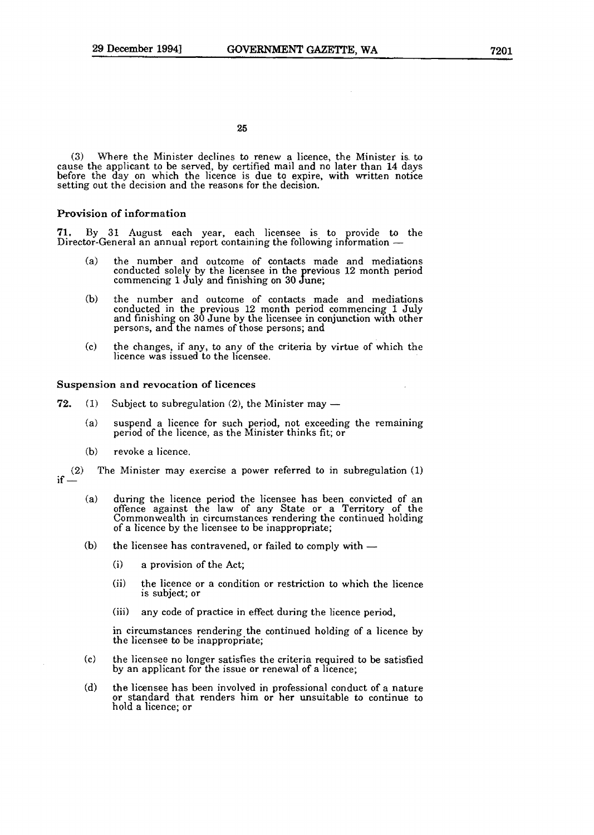**(3)** Where the Minister declines to renew a licence, the Minister is to before the day on which the licence is due to expire, with written notice setting out the decision and the reasons for the decision.

#### **Provision of information**

71. By 31 August each year, each licensee is to provide to the Provision of information<br>**71.** By 31 August each year, each licensee is to provide to th<br>Director-General an annual report containing the following information —

- (a) the number and outcome of contacts made and mediations conducted solely by the licensee in the previous 12 month period commencing 1 *July* and finishing on 30 *June*;
- (b) the number and outcome of contacts made and mediations conducted in the previous 12 month period commencing 1 July and finishing on 30 June by the licensee in conjunction with other and finishing on 30 June by the licensee in co<br>persons, and the names of those persons; and
- (C) the changes, if any, to any of the criteria by virtue of which the licence was issued to the licensee.

#### **Suspension** and **revocation of licences**

- 72. (1) Subject to subregulation (2), the Minister may -
	- (a) suspend a licence for such period, not exceeding the remaining period of the licence, as the Minister thinks fit; or
	- **(b)** revoke a licence.

**(2)** The Minister may exercise a power referred to in subregulation **(1)**   $if (2)$ 

- (a) during the licence period the licensee has been convicted of an offence against the law of any State or a Territory of the Commonwealth in circumstances rendering the continued holding of a licence by the licensee to be inappropnate;
- $(b)$  the licensee has contravened, or failed to comply with  $-$ 
	- (i) a provision of the Act;
	- (ii) the licence or a condition or restriction to which the licence is subject; or
	- (iii) any code of practice in effect during the licence period,

in circumstances rendering the continued holding of a licence by the licensee to be inappropriate;

- (c) the licensee no longer satisfies the criteria required to be satisfied by an applicant for the issue or renewal of a licence;
- **(d)** the licensee has been involved in professional conduct of a nature or standard that renders him or her unsuitable **to** continue to hold a licence; or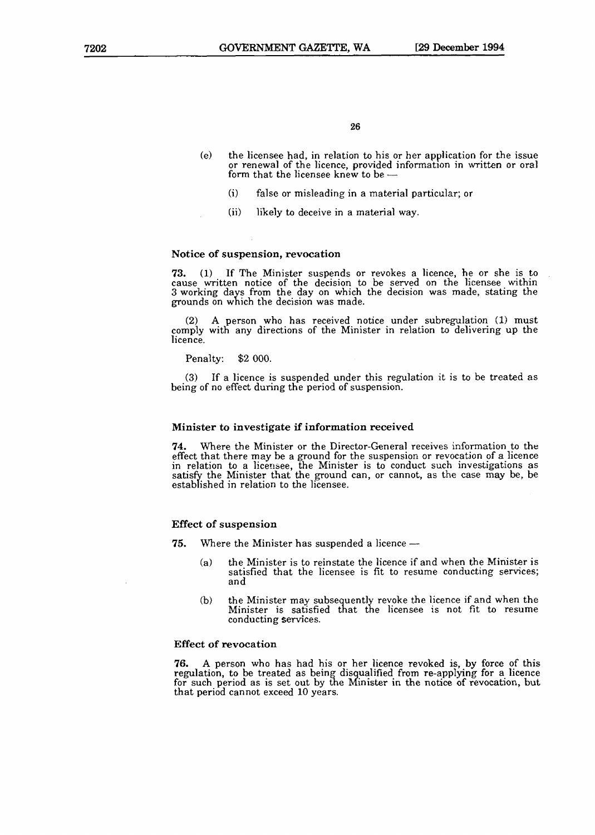- (e) the licensee had, in relation to his or her application for the issue or renewal of the licence, provided information in written or oral the licensee had, in relation to his or hor renewal of the licence, provided inform that the licensee knew to be  $-$ 
	- (i) false or misleading in a material particular; or
	- (ii) likely to deceive in a material way.

#### **Notice of suspension, revocation**

**73. (1)** If The Minister suspends or revokes a licence, he or she is to cause written notice of the decision to be served on the licensee within 3 working days from the day on which the decision was made, stating the grounds on which the decision was made.

**(2) A** person who has received notice under subregulation **(1)** must comply with any directions of the Minister in relation to delivering up the<br>licence.

Penalty: \$2 000.

(3) If a licence is suspended under this regulation it is to be treated as being of no effect during the period of suspension.

#### **Minister to investigate if information received**

**74.** Where the Minister or the Director-General receives information **to** the effect that there may he a ground for the suspension or revocation of *a* licence in relation to a licensee, the Minister is to conduct such investigations as satisfy the Minister that the ground can, or cannot, as the case may be, be established in relation to the licensee.

#### **Effect of suspension**

- **75.** Where the Minister has suspended a licence -
	- (a) the Minister is to reinstate the licence if and when the Minister is satisfied that the licensee is fit to resume conducting services; and
	- (b) the Minister may subsequently revoke the licence if and when the Minister is satisfied that the licensee is not fit to resume conducting **termines** conducting services.

#### **Effect of revocation**

**76. A** person who has had his or her licence revoked is, by force of this regulation, to be treated as being disqualified from re-applying for a licence for such period as is set out by the Minister in the notice of revocation, but that period cannot exceed 10 years.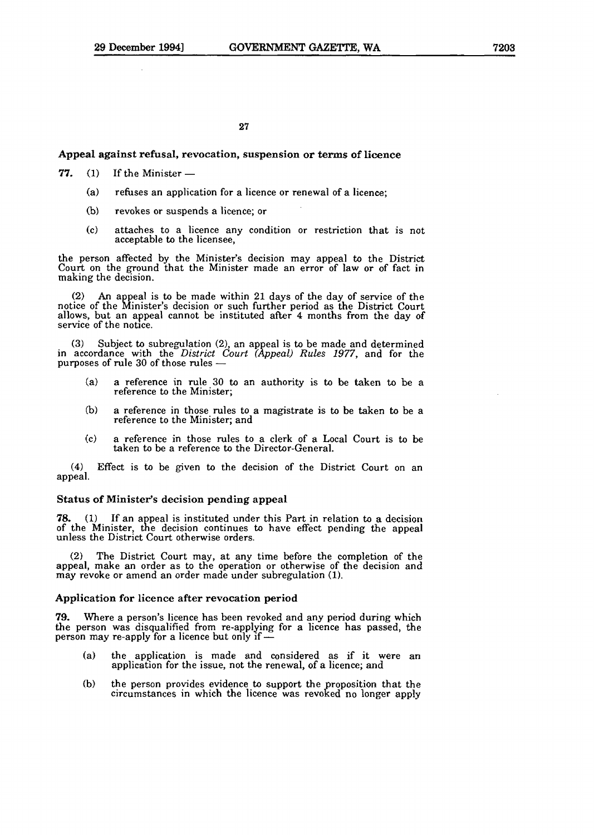## Appeal against refusal, revocation, suspension or terms of licence<br>
77. (1) If the Minister -

- (a) refuses an application for a licence or renewal of a licence;
- (b) revokes or suspends a licence; or
- **(C)** attaches to a licence any condition or restriction that is not acceptable to the licensee,

the person affected by the Minister's decision may appeal to the District Court on the ground that the Minister made an error of law or of fact in making the decision.

(2) An appeal is to be made within 21 days of the day of service of the notice of the Minister's decision or such further period as the District Court allows, but an appeal cannot be instituted after 4 months from the day of service of the notice.

(3) Subject to subregulation (2), an appeal is to be made and determined in accordance with the *District Court (&peal) Rules 1977,* and for the (3) Subject to subregulation (2), a<br>in accordance with the *District Cou*<br>purposes of rule 30 of those rules -

- (a) a reference in rule 30 to an authority is to be taken to be a reference to the Minister;
- (b) a reference in those rules to a magistrate is to be taken to be a reference to the Minister; and
- (C) a reference in those rules to a clerk of a Local Court is to be taken to be a reference to the Director-General.

(4) Effect is to be given to the decision of the District Court on an appeal.

#### **Status of Minister's decision pending appeal**

**78.** (1) If an a peal is instituted under this Part in relation to **a** decision of the Minister, the decision continues to have effect pending the appeal unless the District Court otherwise orders.

**(2)** The District Court may, at any time before the completion of the appeal, make an order as to the operation or otherwise of the decision and may revoke or amend an order made under subregulation (1).

#### **Application for licence after revocation period**

**79.** Where a person's licence has been revoked and any period during which the person was disqualified from re-applying for a licence has passed, the **79.** Where a person's licence has been revoked the person was disqualified from re-applying fo<br>person may re-apply for a licence but only if —

- (a) the application is made and considered as if it were an application for the issue, not the renewal, of a licence; and
- (b) the person provides evidence to support the proposition that the circumstances in which the licence was revoked no longer apply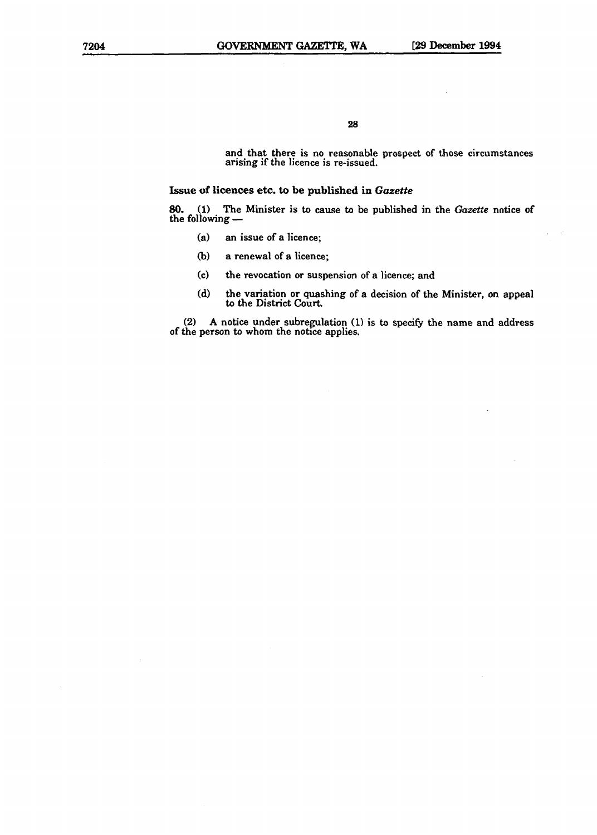$\sim$   $\epsilon^2$  $\ddot{\phantom{a}}$ 

28

and that there is no reasonable prospect of those circumstances arising if the licence is re-issued.

#### **Issue of Licences etc. to be published in Gazette**

**80. (1)** The Minister is to cause to be published in the **Gazette** notice of  $80.$  (1) The the following –

- (a) an issue of a licence;
- **(b)** a renewal of a licence;
- (C) the revocation or suspension of a licence; and
- **(d)** the variation or quashing of a decision of the Minister, on appeal to the District Court.

**(2)** A notice under subregulation **(1)** is **to** specify the name and address of the person to whom the notice applies.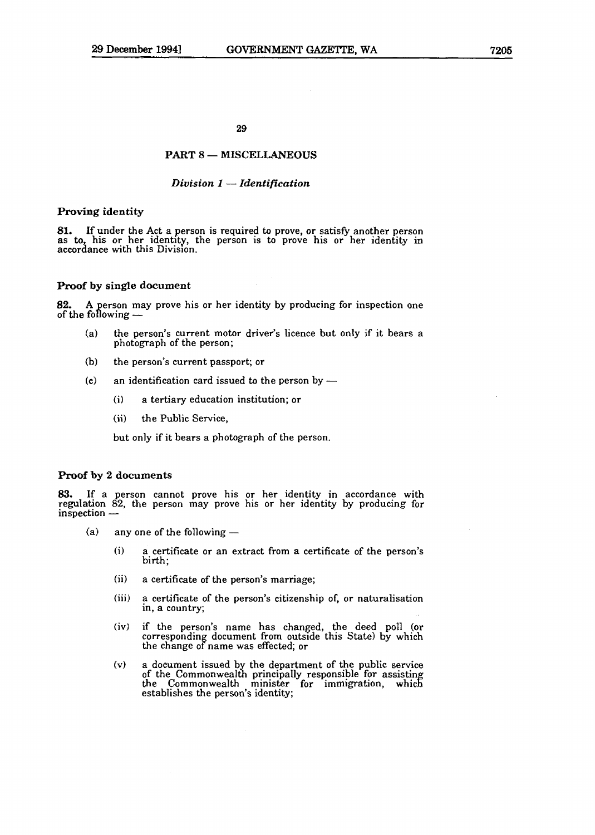## **PART <sup>8</sup>**- **MISCELLGNEOUS**

#### *Diuision l* - *Identification*

#### **Proving identity**

**81.** If under the Act a person is required to prove, or satisfy another person as to, his or her identity, the person is to prove his or her identity in accordance with this Division.

#### **Proof by single document**

82. A person may prove his or her identity by producing for inspection one **of the** *following*<br>**of the following** -

- (a) the person's current motor driver's licence but only if it bears a photograph of the person;
- (b) the person's current passport; or
- **(c)** an identification card issued **to** the person by
	- (i) a tertiary education institution; or
	- **(ii)** the Public Service,

but only if it bears a photograph of the person.

#### **Proof by 2 documents**

83. If a person cannot prove his or her identity in accordance with regulation 82, the person may prove his or her identity by producing for **83.** If a per:<br>regulation 82,<br>inspection inspection  $-$ <br>(a) any one of the following  $-$ 

- - $(i)$ a certificate or an extract from a certificate of the person's birth;
	- $(ii)$ a certificate of the person's marriage;
	- $(iii)$ a certificate of the person's citizenship of, or naturalisation in, a country;
	- if the person's name has changed, the deed poll (or corresponding document from outside this State) by which  $(iv)$ the change of name was effected; or
	- a document issued by the department of the public service<br>of the Commonwealth principally responsible for assisting<br>the Commonwealth minister for immigration, which<br>establishes the person's identity: a document issued by the department of the public service of the Commonwealth principally responsible for assisting  $(v)$ establishes the person's identity;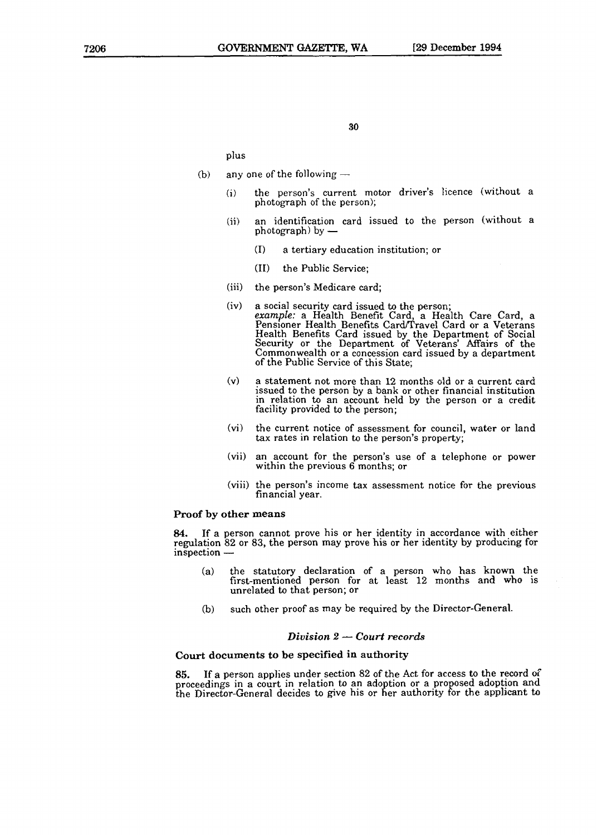plus

- (b) any one of the following  $$ 
	- the person's current motor driver's licence (without a  $(i)$ photograph of the person);
	- an identification caphotograph) by  $(ii)$ an identification card issued to the person (without a
		- (I) a tertiary education institution; or
		- (11) the Public Service;
	- $(iii)$ the person's Medicare card;
	- a social security card issued to the person; *example:* a Health Benefit Card, a Health Care Card, **<sup>a</sup>**  $(iv)$ Pensioner Health Benefits Card/Travel Card or a Veterans Health Benefits Card issued by the Department of Social Security or the Department of Veterans' Affairs of the Commonwealth or a concession card issued by a department of the Public Service of this State;
	- $(v)$ a statement not more than 12 months old or a current card issued to the person by a bank or other financial institution in relation to an account held by the person or a credit facility provided to the person;
	- $(vi)$ the current notice of assessment for council, water or land tax rates in relation to the person's property;
	- $(vii)$ an account for the person's **use** of a telephone or power within the previous 6 months; or
	- (viii) the person's income tax assessment notice for the previous financial year.

#### Proof by other **means**

**84.** If a person cannot prove his or her identity in accordance with either regulation 82 or 83, the person may prove his or her identity by producing for inspection  $-$ 

- (a) the statutory declaration of **a** person who has known the first-mentioned person for at least 12 months and who is unrelated to that person; or
- $(b)$  such other proof as may be required by the Director-General.

#### *Division* **2** - *Court records*

#### Court documents to **be** specified **in authority**

**85.** If a person applies under section 82 of the Act for access to the record of proceedings in a court in relation to an adoption or a proposed adoption and the Director-General decides to give his or her authority for the applicant to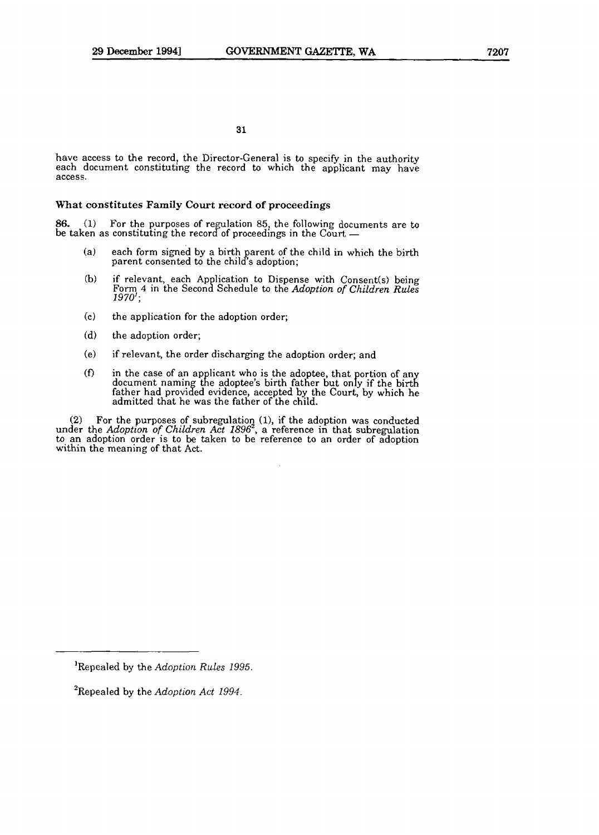have access to the record, the Director-General is to specify in the authority each document constituting the record to which the applicant may have access.

#### **What** constitutes **Family** Court record **of** proceedings

**86.** (1) For the purposes of regulation 85, the following documents are to  $\begin{bmatrix} 1 & 0 & 0 \end{bmatrix}$  be taken as constituting the record of proceedings in the Court  $\begin{bmatrix} 1 & 0 \end{bmatrix}$  of proceedings in the Court  $\begin{bmatrix} 1 & 0 \end{bmatrix}$ 

- $(a)$ each form signed by a birth parent of the child in which the birth<br>parent consented to the child's adoption;
- $(b)$ if relevant, each Ap lication to Dispense with Consent(s) being Form 4 in the secon\$ Schedule to the *Adoption of Children Rules 1970';*
- $(c)$ the application for the adoption order;
- $(d)$ the adoption order;
- if relevant, the order discharging the adoption order; and  $(e)$
- $(f)$ in the case of an applicant who is the adoptee, that portion of any document naming the adoptee's birth father but only if the birth father had provided evidence, accepted by the Court, by which he admitted that he was the father of the child.

(2) For the purposes of subregulation (1), if the adoption was conducted under the *Adoption of Children Act 1896<sup>2</sup>*, a reference in that subregulation to an adoption order is to be taken to be reference to an order of adoption within the meaning of that Act.

<sup>&</sup>lt;sup>1</sup>Repealed by the *Adoption Rules 1995*.

<sup>&</sup>lt;sup>2</sup>Repealed by the *Adoption Act 1994*.